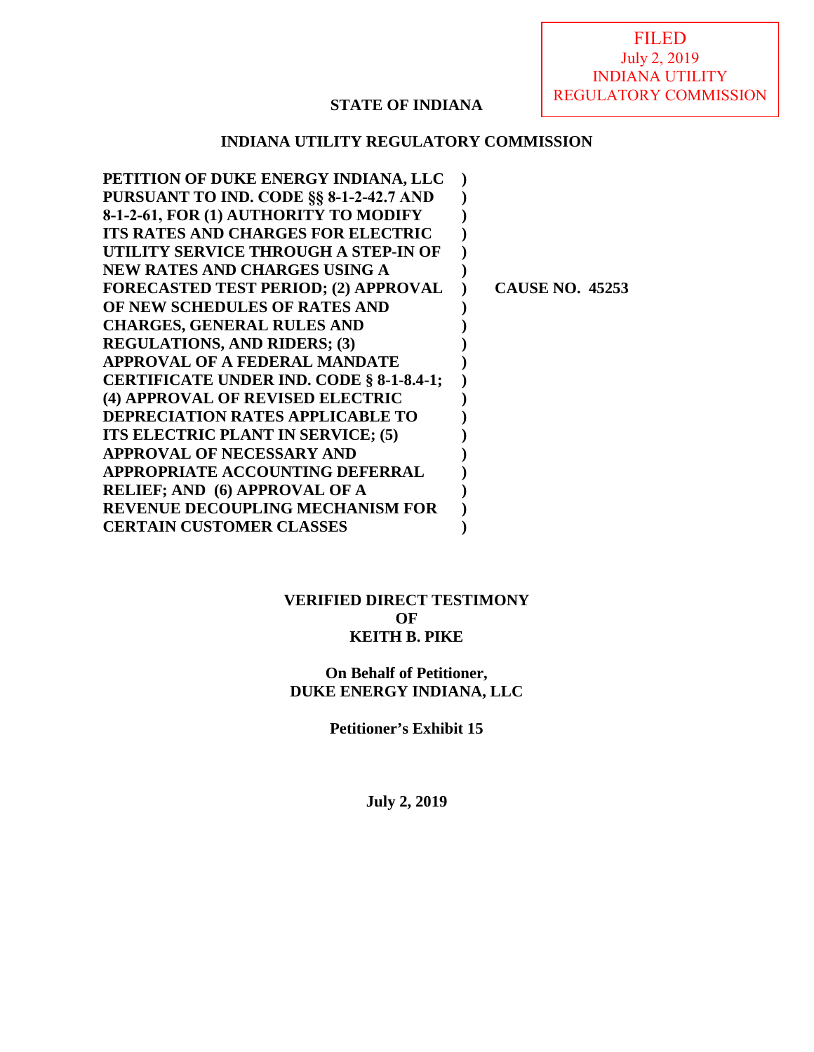## **STATE OF INDIANA**

## **INDIANA UTILITY REGULATORY COMMISSION**

| PETITION OF DUKE ENERGY INDIANA, LLC        |                        |
|---------------------------------------------|------------------------|
| PURSUANT TO IND. CODE §§ 8-1-2-42.7 AND     |                        |
| 8-1-2-61, FOR (1) AUTHORITY TO MODIFY       |                        |
| ITS RATES AND CHARGES FOR ELECTRIC          |                        |
| UTILITY SERVICE THROUGH A STEP-IN OF        |                        |
| NEW RATES AND CHARGES USING A               |                        |
| <b>FORECASTED TEST PERIOD; (2) APPROVAL</b> | <b>CAUSE NO. 45253</b> |
| OF NEW SCHEDULES OF RATES AND               |                        |
| <b>CHARGES, GENERAL RULES AND</b>           |                        |
| <b>REGULATIONS, AND RIDERS; (3)</b>         |                        |
| <b>APPROVAL OF A FEDERAL MANDATE</b>        |                        |
| CERTIFICATE UNDER IND. CODE § 8-1-8.4-1;    |                        |
| (4) APPROVAL OF REVISED ELECTRIC            |                        |
| <b>DEPRECIATION RATES APPLICABLE TO</b>     |                        |
| ITS ELECTRIC PLANT IN SERVICE; (5)          |                        |
| <b>APPROVAL OF NECESSARY AND</b>            |                        |
| <b>APPROPRIATE ACCOUNTING DEFERRAL</b>      |                        |
| <b>RELIEF; AND (6) APPROVAL OF A</b>        |                        |
| <b>REVENUE DECOUPLING MECHANISM FOR</b>     |                        |
| <b>CERTAIN CUSTOMER CLASSES</b>             |                        |
|                                             |                        |

## **VERIFIED DIRECT TESTIMONY OF KEITH B. PIKE**

## **On Behalf of Petitioner, DUKE ENERGY INDIANA, LLC**

**Petitioner's Exhibit 15** 

**July 2, 2019**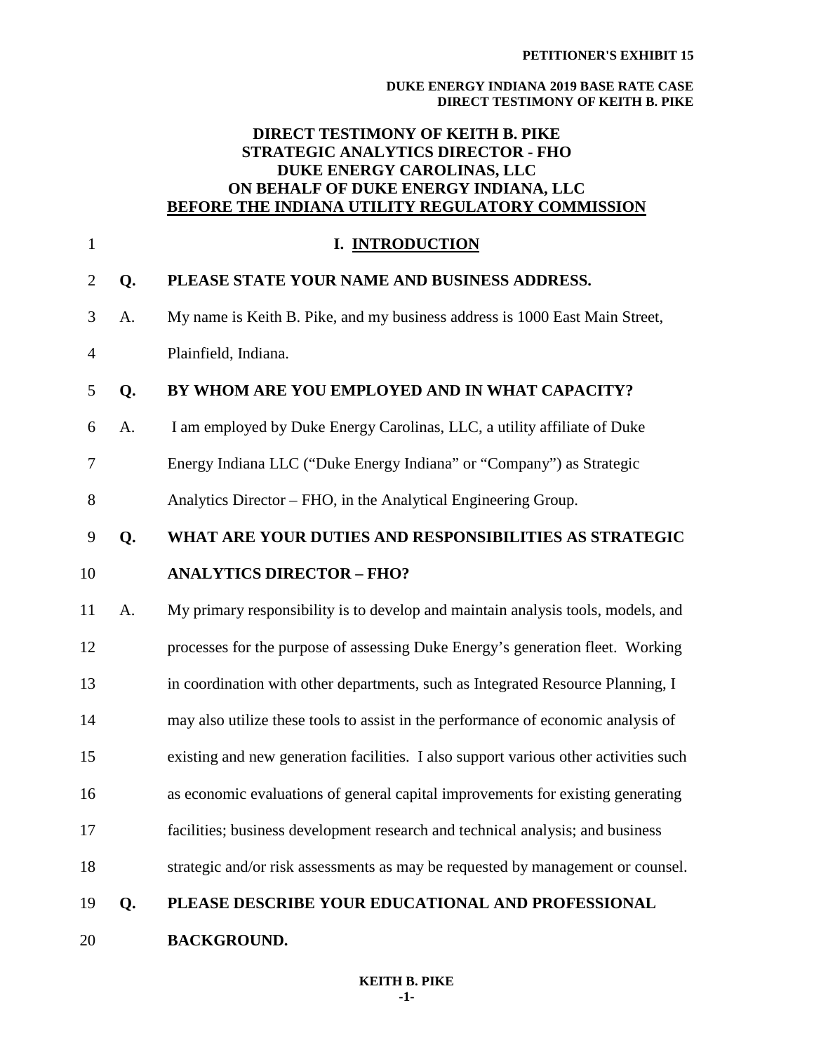## **DIRECT TESTIMONY OF KEITH B. PIKE STRATEGIC ANALYTICS DIRECTOR - FHO DUKE ENERGY CAROLINAS, LLC ON BEHALF OF DUKE ENERGY INDIANA, LLC BEFORE THE INDIANA UTILITY REGULATORY COMMISSION**

| $\mathbf{1}$   |    | I. INTRODUCTION                                                                      |
|----------------|----|--------------------------------------------------------------------------------------|
| $\overline{2}$ | Q. | PLEASE STATE YOUR NAME AND BUSINESS ADDRESS.                                         |
| 3              | A. | My name is Keith B. Pike, and my business address is 1000 East Main Street,          |
| $\overline{4}$ |    | Plainfield, Indiana.                                                                 |
| 5              | Q. | BY WHOM ARE YOU EMPLOYED AND IN WHAT CAPACITY?                                       |
| 6              | A. | I am employed by Duke Energy Carolinas, LLC, a utility affiliate of Duke             |
| 7              |    | Energy Indiana LLC ("Duke Energy Indiana" or "Company") as Strategic                 |
| $8\,$          |    | Analytics Director – FHO, in the Analytical Engineering Group.                       |
| 9              | Q. | WHAT ARE YOUR DUTIES AND RESPONSIBILITIES AS STRATEGIC                               |
| 10             |    | <b>ANALYTICS DIRECTOR - FHO?</b>                                                     |
| 11             | A. | My primary responsibility is to develop and maintain analysis tools, models, and     |
| 12             |    | processes for the purpose of assessing Duke Energy's generation fleet. Working       |
| 13             |    | in coordination with other departments, such as Integrated Resource Planning, I      |
| 14             |    | may also utilize these tools to assist in the performance of economic analysis of    |
| 15             |    | existing and new generation facilities. I also support various other activities such |
| 16             |    | as economic evaluations of general capital improvements for existing generating      |
| 17             |    | facilities; business development research and technical analysis; and business       |
| 18             |    | strategic and/or risk assessments as may be requested by management or counsel.      |
| 19             | Q. | PLEASE DESCRIBE YOUR EDUCATIONAL AND PROFESSIONAL                                    |
| 20             |    | <b>BACKGROUND.</b>                                                                   |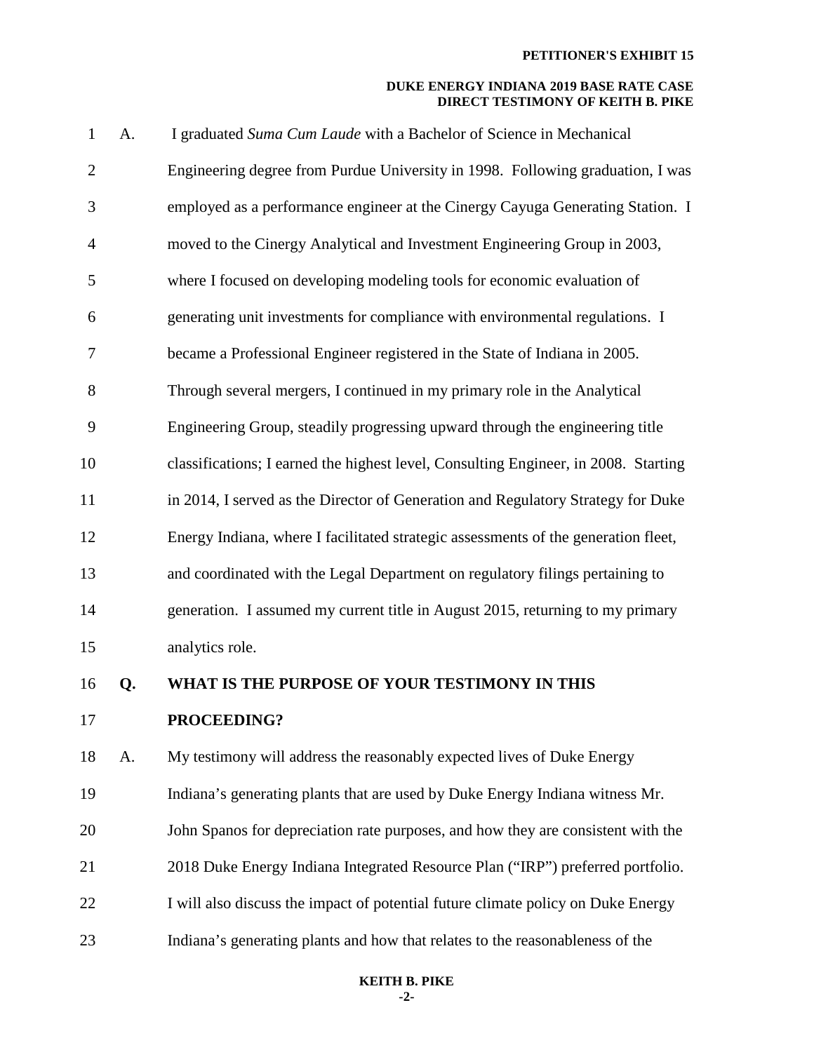| $\mathbf{1}$   | A. | I graduated Suma Cum Laude with a Bachelor of Science in Mechanical                 |
|----------------|----|-------------------------------------------------------------------------------------|
| $\overline{2}$ |    | Engineering degree from Purdue University in 1998. Following graduation, I was      |
| 3              |    | employed as a performance engineer at the Cinergy Cayuga Generating Station. I      |
| $\overline{4}$ |    | moved to the Cinergy Analytical and Investment Engineering Group in 2003,           |
| 5              |    | where I focused on developing modeling tools for economic evaluation of             |
| 6              |    | generating unit investments for compliance with environmental regulations. I        |
| 7              |    | became a Professional Engineer registered in the State of Indiana in 2005.          |
| 8              |    | Through several mergers, I continued in my primary role in the Analytical           |
| 9              |    | Engineering Group, steadily progressing upward through the engineering title        |
| 10             |    | classifications; I earned the highest level, Consulting Engineer, in 2008. Starting |
| 11             |    | in 2014, I served as the Director of Generation and Regulatory Strategy for Duke    |
| 12             |    | Energy Indiana, where I facilitated strategic assessments of the generation fleet,  |
| 13             |    | and coordinated with the Legal Department on regulatory filings pertaining to       |
| 14             |    | generation. I assumed my current title in August 2015, returning to my primary      |
| 15             |    | analytics role.                                                                     |
| 16             | Q. | WHAT IS THE PURPOSE OF YOUR TESTIMONY IN THIS                                       |
| 17             |    | PROCEEDING?                                                                         |
| 18             | A. | My testimony will address the reasonably expected lives of Duke Energy              |
| 19             |    | Indiana's generating plants that are used by Duke Energy Indiana witness Mr.        |
| 20             |    | John Spanos for depreciation rate purposes, and how they are consistent with the    |
| 21             |    | 2018 Duke Energy Indiana Integrated Resource Plan ("IRP") preferred portfolio.      |
| 22             |    | I will also discuss the impact of potential future climate policy on Duke Energy    |
| 23             |    | Indiana's generating plants and how that relates to the reasonableness of the       |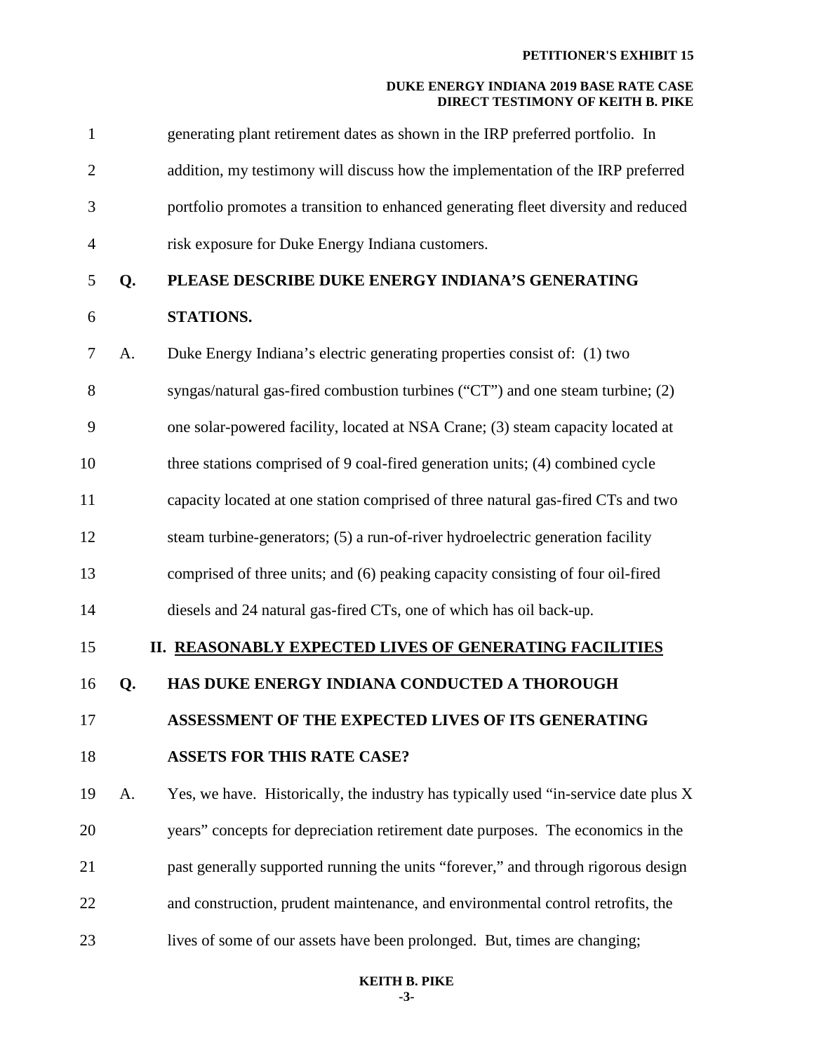| $\mathbf{1}$   |    | generating plant retirement dates as shown in the IRP preferred portfolio. In       |
|----------------|----|-------------------------------------------------------------------------------------|
| $\overline{2}$ |    | addition, my testimony will discuss how the implementation of the IRP preferred     |
| 3              |    | portfolio promotes a transition to enhanced generating fleet diversity and reduced  |
| 4              |    | risk exposure for Duke Energy Indiana customers.                                    |
| 5              | Q. | PLEASE DESCRIBE DUKE ENERGY INDIANA'S GENERATING                                    |
| 6              |    | STATIONS.                                                                           |
| 7              | A. | Duke Energy Indiana's electric generating properties consist of: (1) two            |
| 8              |    | syngas/natural gas-fired combustion turbines ("CT") and one steam turbine; (2)      |
| 9              |    | one solar-powered facility, located at NSA Crane; (3) steam capacity located at     |
| 10             |    | three stations comprised of 9 coal-fired generation units; (4) combined cycle       |
| 11             |    | capacity located at one station comprised of three natural gas-fired CTs and two    |
| 12             |    | steam turbine-generators; (5) a run-of-river hydroelectric generation facility      |
| 13             |    | comprised of three units; and (6) peaking capacity consisting of four oil-fired     |
| 14             |    | diesels and 24 natural gas-fired CTs, one of which has oil back-up.                 |
| 15             |    | II. REASONABLY EXPECTED LIVES OF GENERATING FACILITIES                              |
| 16             | Q. | HAS DUKE ENERGY INDIANA CONDUCTED A THOROUGH                                        |
| 17             |    | ASSESSMENT OF THE EXPECTED LIVES OF ITS GENERATING                                  |
| 18             |    | <b>ASSETS FOR THIS RATE CASE?</b>                                                   |
| 19             | A. | Yes, we have. Historically, the industry has typically used "in-service date plus X |
| 20             |    | years" concepts for depreciation retirement date purposes. The economics in the     |
| 21             |    | past generally supported running the units "forever," and through rigorous design   |
| 22             |    | and construction, prudent maintenance, and environmental control retrofits, the     |
| 23             |    | lives of some of our assets have been prolonged. But, times are changing;           |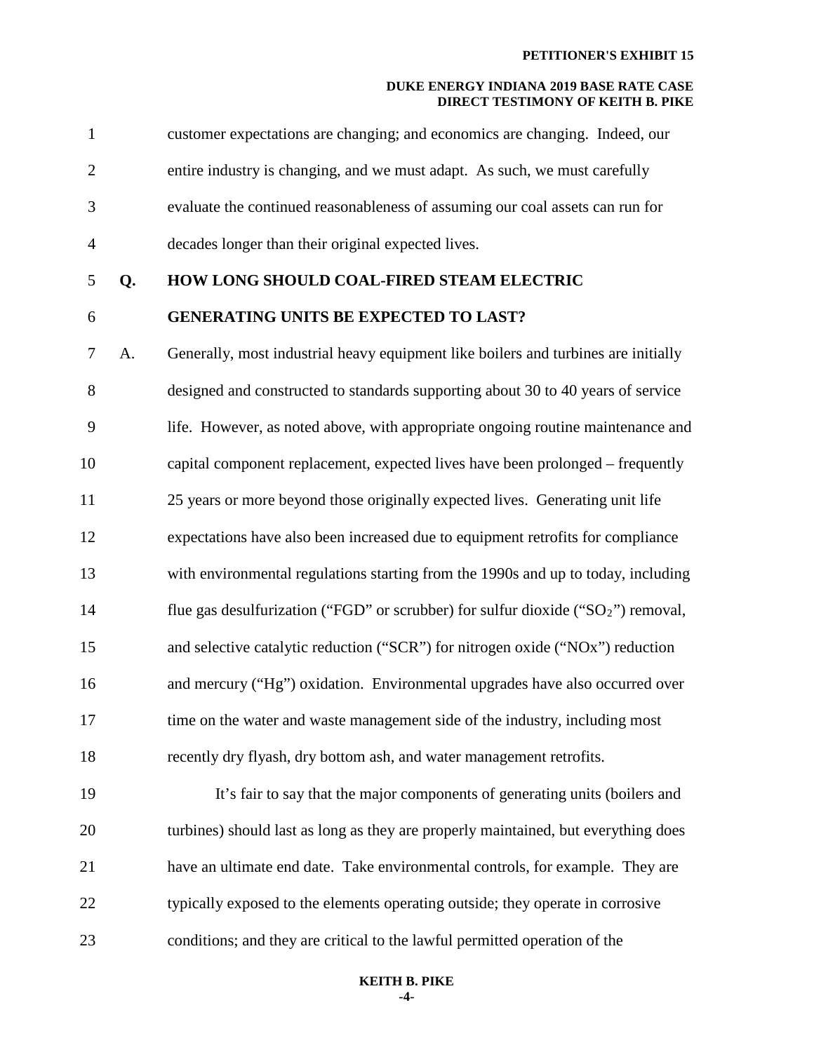| $\mathbf{1}$   |    | customer expectations are changing; and economics are changing. Indeed, our           |
|----------------|----|---------------------------------------------------------------------------------------|
| $\mathbf{2}$   |    | entire industry is changing, and we must adapt. As such, we must carefully            |
| 3              |    | evaluate the continued reasonableness of assuming our coal assets can run for         |
| $\overline{4}$ |    | decades longer than their original expected lives.                                    |
| 5              | Q. | HOW LONG SHOULD COAL-FIRED STEAM ELECTRIC                                             |
| 6              |    | <b>GENERATING UNITS BE EXPECTED TO LAST?</b>                                          |
| $\tau$         | A. | Generally, most industrial heavy equipment like boilers and turbines are initially    |
| 8              |    | designed and constructed to standards supporting about 30 to 40 years of service      |
| 9              |    | life. However, as noted above, with appropriate ongoing routine maintenance and       |
| 10             |    | capital component replacement, expected lives have been prolonged – frequently        |
| 11             |    | 25 years or more beyond those originally expected lives. Generating unit life         |
| 12             |    | expectations have also been increased due to equipment retrofits for compliance       |
| 13             |    | with environmental regulations starting from the 1990s and up to today, including     |
| 14             |    | flue gas desulfurization ("FGD" or scrubber) for sulfur dioxide (" $SO_2$ ") removal, |
| 15             |    | and selective catalytic reduction ("SCR") for nitrogen oxide ("NOx") reduction        |
| 16             |    | and mercury ("Hg") oxidation. Environmental upgrades have also occurred over          |
| 17             |    | time on the water and waste management side of the industry, including most           |
| 18             |    | recently dry flyash, dry bottom ash, and water management retrofits.                  |
| 19             |    | It's fair to say that the major components of generating units (boilers and           |
| 20             |    | turbines) should last as long as they are properly maintained, but everything does    |
| 21             |    | have an ultimate end date. Take environmental controls, for example. They are         |
| 22             |    | typically exposed to the elements operating outside; they operate in corrosive        |
| 23             |    | conditions; and they are critical to the lawful permitted operation of the            |

#### **KEITH B. PIKE -4-**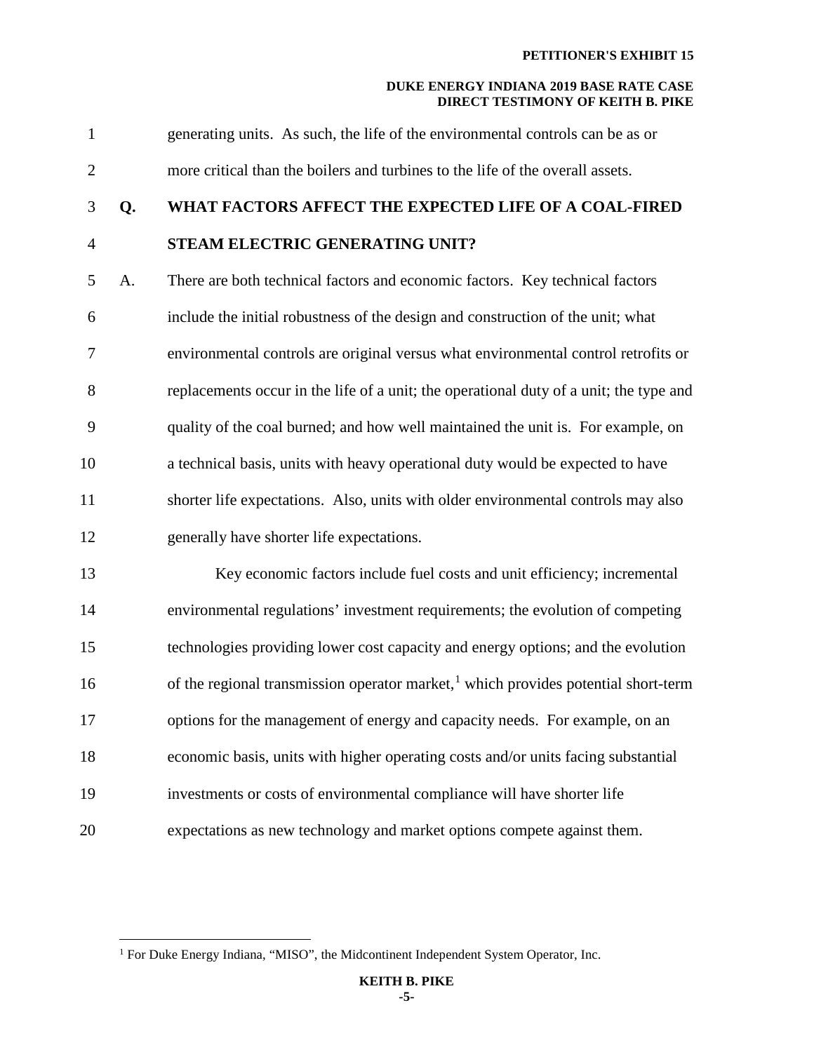1 generating units. As such, the life of the environmental controls can be as or 2 more critical than the boilers and turbines to the life of the overall assets. 3 **Q. WHAT FACTORS AFFECT THE EXPECTED LIFE OF A COAL-FIRED**  4 **STEAM ELECTRIC GENERATING UNIT?**  5 A. There are both technical factors and economic factors. Key technical factors 6 include the initial robustness of the design and construction of the unit; what 7 environmental controls are original versus what environmental control retrofits or 8 replacements occur in the life of a unit; the operational duty of a unit; the type and 9 quality of the coal burned; and how well maintained the unit is. For example, on 10 a technical basis, units with heavy operational duty would be expected to have 11 shorter life expectations. Also, units with older environmental controls may also 12 generally have shorter life expectations. 13 Key economic factors include fuel costs and unit efficiency; incremental 14 environmental regulations' investment requirements; the evolution of competing 15 technologies providing lower cost capacity and energy options; and the evolution  $16$  of the regional transmission operator market,<sup>1</sup> which provides potential short-term 17 options for the management of energy and capacity needs. For example, on an 18 economic basis, units with higher operating costs and/or units facing substantial 19 investments or costs of environmental compliance will have shorter life 20 expectations as new technology and market options compete against them.

<span id="page-5-0"></span><sup>&</sup>lt;sup>1</sup> For Duke Energy Indiana, "MISO", the Midcontinent Independent System Operator, Inc.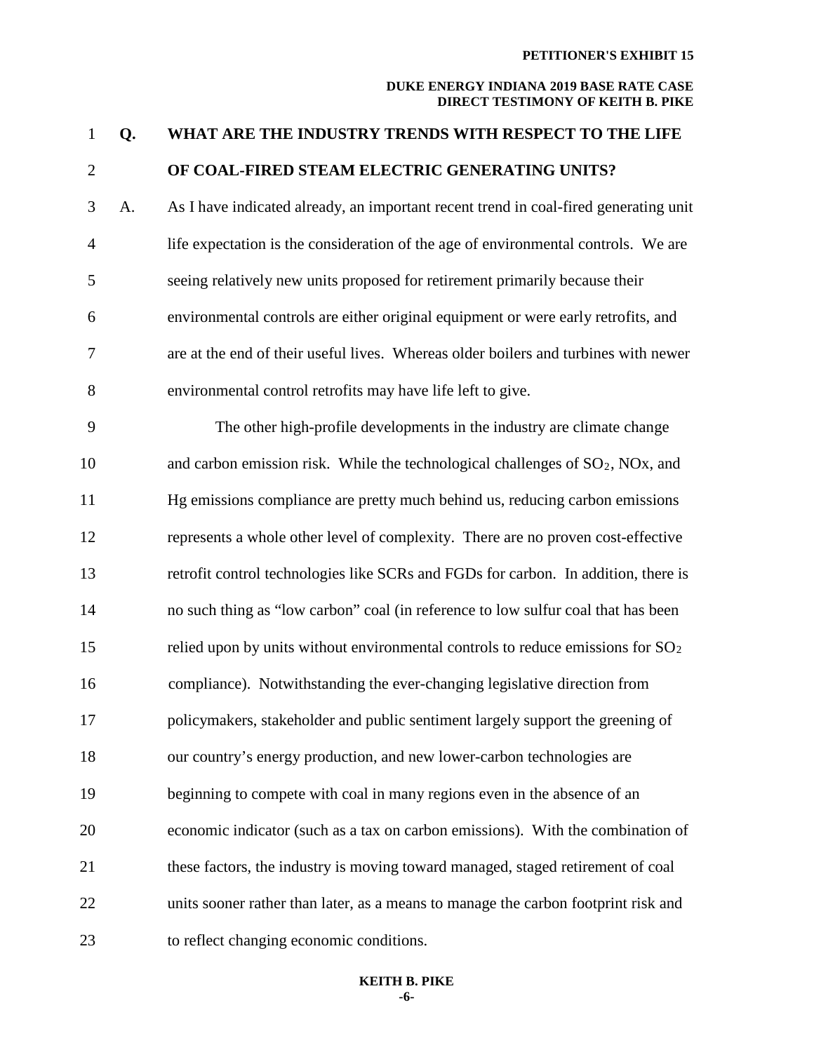# 1 **Q. WHAT ARE THE INDUSTRY TRENDS WITH RESPECT TO THE LIFE**  2 **OF COAL-FIRED STEAM ELECTRIC GENERATING UNITS?**  3 A. As I have indicated already, an important recent trend in coal-fired generating unit 4 life expectation is the consideration of the age of environmental controls. We are 5 seeing relatively new units proposed for retirement primarily because their 6 environmental controls are either original equipment or were early retrofits, and 7 are at the end of their useful lives. Whereas older boilers and turbines with newer 8 environmental control retrofits may have life left to give. 9 The other high-profile developments in the industry are climate change 10 and carbon emission risk. While the technological challenges of  $SO_2$ , NOx, and 11 Hg emissions compliance are pretty much behind us, reducing carbon emissions 12 represents a whole other level of complexity. There are no proven cost-effective 13 retrofit control technologies like SCRs and FGDs for carbon. In addition, there is 14 no such thing as "low carbon" coal (in reference to low sulfur coal that has been 15 relied upon by units without environmental controls to reduce emissions for  $SO_2$ 16 compliance). Notwithstanding the ever-changing legislative direction from 17 policymakers, stakeholder and public sentiment largely support the greening of 18 our country's energy production, and new lower-carbon technologies are 19 beginning to compete with coal in many regions even in the absence of an 20 economic indicator (such as a tax on carbon emissions). With the combination of 21 these factors, the industry is moving toward managed, staged retirement of coal 22 units sooner rather than later, as a means to manage the carbon footprint risk and 23 to reflect changing economic conditions.

#### **KEITH B. PIKE -6-**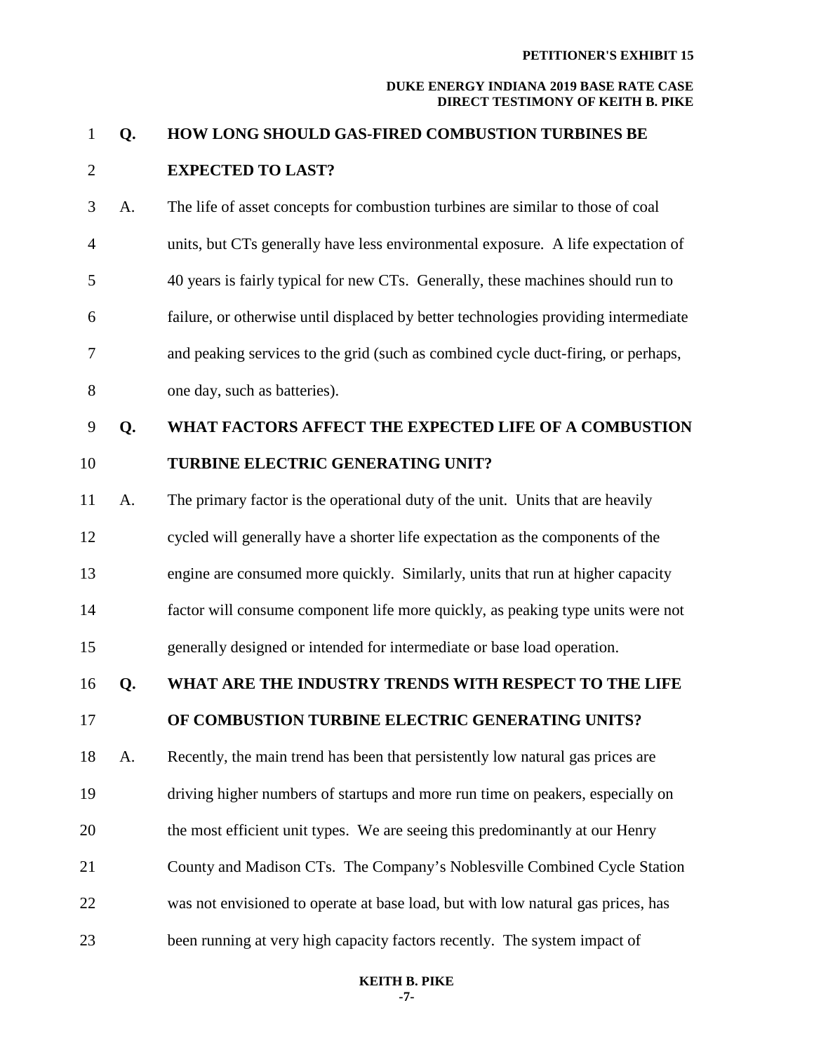| $\mathbf{1}$   | Q. | HOW LONG SHOULD GAS-FIRED COMBUSTION TURBINES BE                                    |
|----------------|----|-------------------------------------------------------------------------------------|
| $\overline{2}$ |    | <b>EXPECTED TO LAST?</b>                                                            |
| 3              | A. | The life of asset concepts for combustion turbines are similar to those of coal     |
| $\overline{4}$ |    | units, but CTs generally have less environmental exposure. A life expectation of    |
| 5              |    | 40 years is fairly typical for new CTs. Generally, these machines should run to     |
| 6              |    | failure, or otherwise until displaced by better technologies providing intermediate |
| 7              |    | and peaking services to the grid (such as combined cycle duct-firing, or perhaps,   |
| $8\,$          |    | one day, such as batteries).                                                        |
| 9              | Q. | WHAT FACTORS AFFECT THE EXPECTED LIFE OF A COMBUSTION                               |
| 10             |    | TURBINE ELECTRIC GENERATING UNIT?                                                   |
| 11             | A. | The primary factor is the operational duty of the unit. Units that are heavily      |
| 12             |    | cycled will generally have a shorter life expectation as the components of the      |
| 13             |    | engine are consumed more quickly. Similarly, units that run at higher capacity      |
| 14             |    | factor will consume component life more quickly, as peaking type units were not     |
| 15             |    | generally designed or intended for intermediate or base load operation.             |
| 16             | Q. | WHAT ARE THE INDUSTRY TRENDS WITH RESPECT TO THE LIFE                               |
| 17             |    | OF COMBUSTION TURBINE ELECTRIC GENERATING UNITS?                                    |
| 18             | A. | Recently, the main trend has been that persistently low natural gas prices are      |
| 19             |    | driving higher numbers of startups and more run time on peakers, especially on      |
| 20             |    | the most efficient unit types. We are seeing this predominantly at our Henry        |
| 21             |    | County and Madison CTs. The Company's Noblesville Combined Cycle Station            |
| 22             |    | was not envisioned to operate at base load, but with low natural gas prices, has    |
| 23             |    | been running at very high capacity factors recently. The system impact of           |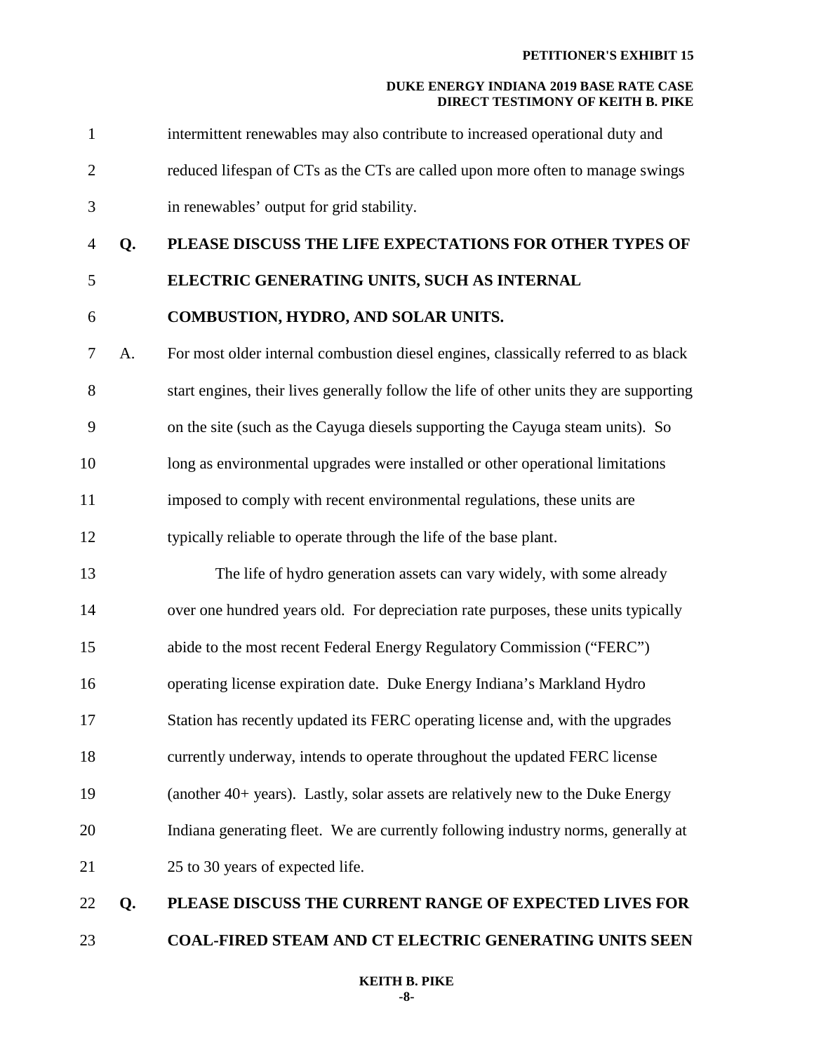| $\mathbf{1}$   |    | intermittent renewables may also contribute to increased operational duty and           |
|----------------|----|-----------------------------------------------------------------------------------------|
| $\overline{2}$ |    | reduced lifespan of CTs as the CTs are called upon more often to manage swings          |
| 3              |    | in renewables' output for grid stability.                                               |
| $\overline{4}$ | Q. | PLEASE DISCUSS THE LIFE EXPECTATIONS FOR OTHER TYPES OF                                 |
| 5              |    | ELECTRIC GENERATING UNITS, SUCH AS INTERNAL                                             |
| 6              |    | COMBUSTION, HYDRO, AND SOLAR UNITS.                                                     |
| 7              | A. | For most older internal combustion diesel engines, classically referred to as black     |
| 8              |    | start engines, their lives generally follow the life of other units they are supporting |
| 9              |    | on the site (such as the Cayuga diesels supporting the Cayuga steam units). So          |
| 10             |    | long as environmental upgrades were installed or other operational limitations          |
| 11             |    | imposed to comply with recent environmental regulations, these units are                |
| 12             |    | typically reliable to operate through the life of the base plant.                       |
| 13             |    | The life of hydro generation assets can vary widely, with some already                  |
| 14             |    | over one hundred years old. For depreciation rate purposes, these units typically       |
| 15             |    | abide to the most recent Federal Energy Regulatory Commission ("FERC")                  |
| 16             |    | operating license expiration date. Duke Energy Indiana's Markland Hydro                 |
| 17             |    | Station has recently updated its FERC operating license and, with the upgrades          |
| 18             |    | currently underway, intends to operate throughout the updated FERC license              |
| 19             |    | (another 40+ years). Lastly, solar assets are relatively new to the Duke Energy         |
| 20             |    | Indiana generating fleet. We are currently following industry norms, generally at       |
| 21             |    | 25 to 30 years of expected life.                                                        |
| 22             | Q. | PLEASE DISCUSS THE CURRENT RANGE OF EXPECTED LIVES FOR                                  |
| 23             |    | COAL-FIRED STEAM AND CT ELECTRIC GENERATING UNITS SEEN                                  |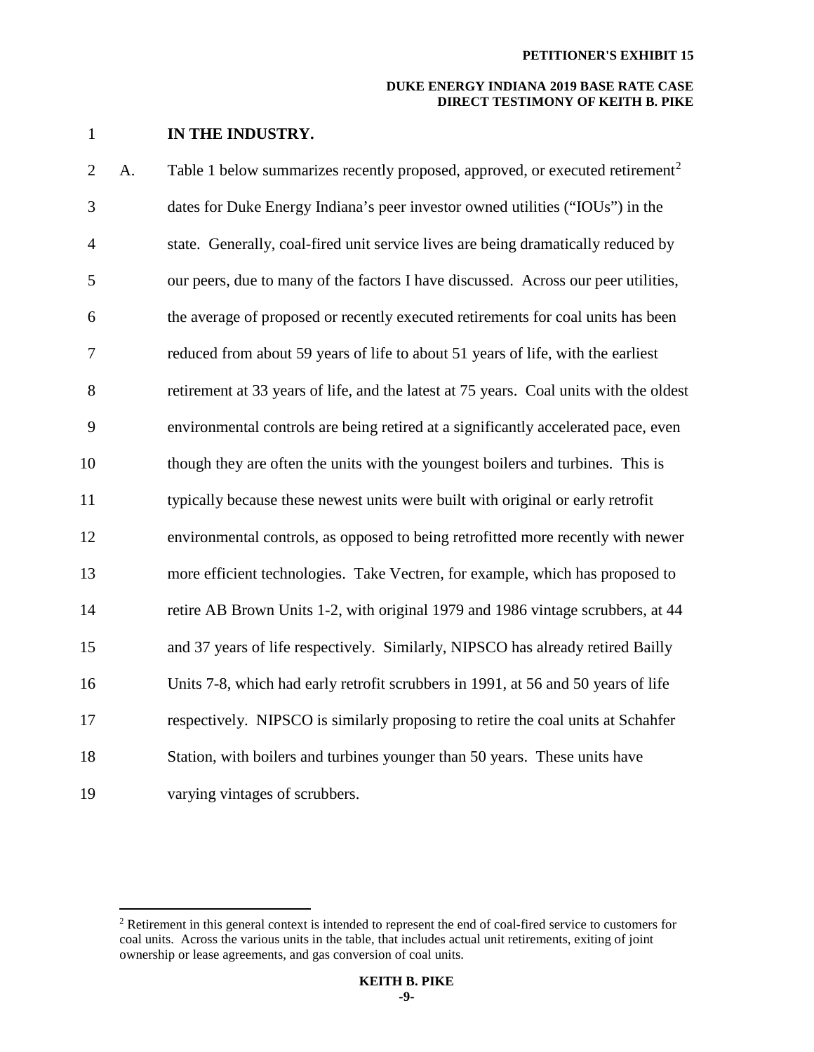1 **IN THE INDUSTRY.** 

 $\overline{a}$ 

[2](#page-9-0) A. Table 1 below summarizes recently proposed, approved, or executed retirement<sup>2</sup> 3 dates for Duke Energy Indiana's peer investor owned utilities ("IOUs") in the 4 state. Generally, coal-fired unit service lives are being dramatically reduced by 5 our peers, due to many of the factors I have discussed. Across our peer utilities, 6 the average of proposed or recently executed retirements for coal units has been 7 reduced from about 59 years of life to about 51 years of life, with the earliest 8 retirement at 33 years of life, and the latest at 75 years. Coal units with the oldest 9 environmental controls are being retired at a significantly accelerated pace, even 10 though they are often the units with the youngest boilers and turbines. This is 11 typically because these newest units were built with original or early retrofit 12 environmental controls, as opposed to being retrofitted more recently with newer 13 more efficient technologies. Take Vectren, for example, which has proposed to 14 retire AB Brown Units 1-2, with original 1979 and 1986 vintage scrubbers, at 44 15 and 37 years of life respectively. Similarly, NIPSCO has already retired Bailly 16 Units 7-8, which had early retrofit scrubbers in 1991, at 56 and 50 years of life 17 respectively. NIPSCO is similarly proposing to retire the coal units at Schahfer 18 Station, with boilers and turbines younger than 50 years. These units have 19 varying vintages of scrubbers.

<span id="page-9-0"></span><sup>&</sup>lt;sup>2</sup> Retirement in this general context is intended to represent the end of coal-fired service to customers for coal units. Across the various units in the table, that includes actual unit retirements, exiting of joint ownership or lease agreements, and gas conversion of coal units.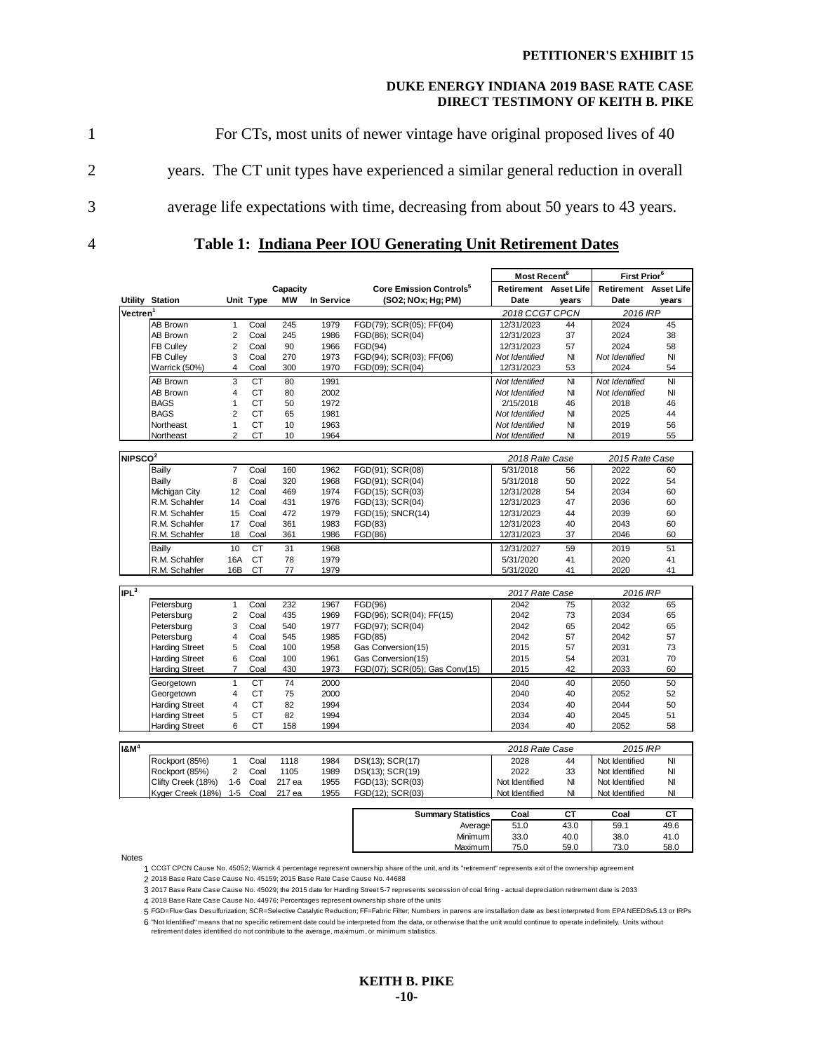1 For CTs, most units of newer vintage have original proposed lives of 40 2 years. The CT unit types have experienced a similar general reduction in overall 3 average life expectations with time, decreasing from about 50 years to 43 years.

4 **Table 1: Indiana Peer IOU Generating Unit Retirement Dates**

|                      | Most Recent <sup>6</sup> |                |           | First Prior <sup>6</sup> |            |                                     |                       |                |                       |              |
|----------------------|--------------------------|----------------|-----------|--------------------------|------------|-------------------------------------|-----------------------|----------------|-----------------------|--------------|
|                      |                          |                |           | Capacity                 |            | Core Emission Controls <sup>5</sup> | Retirement Asset Life |                | Retirement Asset Life |              |
|                      | <b>Utility Station</b>   |                | Unit Type | <b>MW</b>                | In Service | (SO2; NOx; Hg; PM)                  | Date                  | years          | Date                  | years        |
| Vectren <sup>1</sup> |                          |                |           |                          |            |                                     | 2018 CCGT CPCN        |                | 2016 IRP              |              |
|                      | AB Brown                 | $\mathbf{1}$   | Coal      | 245                      | 1979       | FGD(79); SCR(05); FF(04)            | 12/31/2023            | 44             | 2024                  | 45           |
|                      | AB Brown                 | 2              | Coal      | 245                      | 1986       | FGD(86); SCR(04)                    | 12/31/2023            | 37             | 2024                  | 38           |
|                      | <b>FB Culley</b>         | $\overline{2}$ | Coal      | 90                       | 1966       | FGD(94)                             | 12/31/2023            | 57             | 2024                  | 58           |
|                      | <b>FB Culley</b>         | 3              | Coal      | 270                      | 1973       | FGD(94); SCR(03); FF(06)            | Not Identified        | N <sub>l</sub> | Not Identified        | NI           |
|                      | Warrick (50%)            | 4              | Coal      | 300                      | 1970       | FGD(09); SCR(04)                    | 12/31/2023            | 53             | 2024                  | 54           |
|                      | AB Brown                 | 3              | <b>CT</b> | 80                       | 1991       |                                     | Not Identified        | NI             | Not Identified        | NI           |
|                      | <b>AB Brown</b>          | 4              | <b>CT</b> | 80                       | 2002       |                                     | Not Identified        | NI             | Not Identified        | NI           |
|                      | <b>BAGS</b>              | 1              | <b>CT</b> | 50                       | 1972       |                                     | 2/15/2018             | 46             | 2018                  | 46           |
|                      | <b>BAGS</b>              | $\overline{2}$ | <b>CT</b> | 65                       | 1981       |                                     | Not Identified        | NI             | 2025                  | 44           |
|                      | Northeast                | 1              | <b>CT</b> | 10                       | 1963       |                                     | Not Identified        | NI             | 2019                  | 56           |
|                      | Northeast                | $\overline{2}$ | <b>CT</b> | 10                       | 1964       |                                     | Not Identified        | NI             | 2019                  | 55           |
|                      |                          |                |           |                          |            |                                     |                       |                |                       |              |
| NIPSCO <sup>2</sup>  |                          |                |           |                          |            |                                     | 2018 Rate Case        |                | 2015 Rate Case        |              |
|                      | <b>Bailly</b>            | $\overline{7}$ | Coal      | 160                      | 1962       | FGD(91); SCR(08)                    | 5/31/2018             | 56             | 2022                  | 60           |
|                      | Bailly                   | 8              | Coal      | 320                      | 1968       | FGD(91); SCR(04)                    | 5/31/2018             | 50             | 2022                  | 54           |
|                      | Michigan City            | 12             | Coal      | 469                      | 1974       | FGD(15); SCR(03)                    | 12/31/2028            | 54             | 2034                  | 60           |
|                      | R.M. Schahfer            | 14             | Coal      | 431                      | 1976       | FGD(13); SCR(04)                    | 12/31/2023            | 47             | 2036                  | 60           |
|                      | R.M. Schahfer            | 15             | Coal      | 472                      | 1979       | FGD(15); SNCR(14)                   | 12/31/2023            | 44             | 2039                  | 60           |
|                      | R.M. Schahfer            | 17             | Coal      | 361                      | 1983       | FGD(83)                             | 12/31/2023            | 40             | 2043                  | 60           |
|                      | R.M. Schahfer            | 18             | Coal      | 361                      | 1986       | FGD(86)                             | 12/31/2023            | 37             | 2046                  | 60           |
|                      | <b>Bailly</b>            | 10             | <b>CT</b> | 31                       | 1968       |                                     | 12/31/2027            | 59             | 2019                  | 51           |
|                      | R.M. Schahfer            | 16A            | <b>CT</b> | 78                       | 1979       |                                     | 5/31/2020             | 41             | 2020                  | 41           |
|                      | R.M. Schahfer            | 16B            | <b>CT</b> | 77                       | 1979       |                                     | 5/31/2020             | 41             | 2020                  | 41           |
| IPL <sup>3</sup>     |                          |                |           |                          |            |                                     | 2017 Rate Case        |                | 2016 IRP              |              |
|                      | Petersburg               | 1              | Coal      | 232                      | 1967       | FGD(96)                             | 2042                  | 75             | 2032                  | 65           |
|                      | Petersburg               | 2              | Coal      | 435                      | 1969       | FGD(96); SCR(04); FF(15)            | 2042                  | 73             | 2034                  | 65           |
|                      | Petersburg               | 3              | Coal      | 540                      | 1977       | FGD(97); SCR(04)                    | 2042                  | 65             | 2042                  | 65           |
|                      | Petersburg               | 4              | Coal      | 545                      | 1985       | FGD(85)                             | 2042                  | 57             | 2042                  | 57           |
|                      | <b>Harding Street</b>    | 5              | Coal      | 100                      | 1958       | Gas Conversion(15)                  | 2015                  | 57             | 2031                  | 73           |
|                      | <b>Harding Street</b>    | 6              | Coal      | 100                      | 1961       | Gas Conversion(15)                  | 2015                  | 54             | 2031                  | 70           |
|                      | <b>Harding Street</b>    | $\overline{7}$ | Coal      | 430                      | 1973       | FGD(07); SCR(05); Gas Conv(15)      | 2015                  | 42             | 2033                  | 60           |
|                      | Georgetown               | 1              | <b>CT</b> | 74                       | 2000       |                                     | 2040                  | 40             | 2050                  | 50           |
|                      | Georgetown               | 4              | <b>CT</b> | 75                       | 2000       |                                     | 2040                  | 40             | 2052                  | 52           |
|                      | <b>Harding Street</b>    | 4              | CT        | 82                       | 1994       |                                     | 2034                  | 40             | 2044                  | 50           |
|                      | <b>Harding Street</b>    | 5              | <b>CT</b> | 82                       | 1994       |                                     | 2034                  | 40             | 2045                  | 51           |
|                      | <b>Harding Street</b>    | 6              | CT        | 158                      | 1994       |                                     | 2034                  | 40             | 2052                  | 58           |
|                      |                          |                |           |                          |            |                                     |                       |                |                       |              |
| $18 \text{M}^4$      |                          |                |           |                          |            |                                     | 2018 Rate Case        |                | 2015 IRP              |              |
|                      | Rockport (85%)           | 1              | Coal      | 1118                     | 1984       | DSI(13); SCR(17)                    | 2028                  | 44             | Not Identified        | NI           |
|                      | Rockport (85%)           | $\overline{2}$ | Coal      | 1105                     | 1989       | DSI(13); SCR(19)                    | 2022                  | 33             | Not Identified        | NI           |
|                      | Clifty Creek (18%)       | $1 - 6$        | Coal      | 217 ea                   | 1955       | FGD(13); SCR(03)                    | Not Identified        | NI             | Not Identified        | NI           |
|                      | Kyger Creek (18%)        | $1 - 5$        | Coal      | 217 ea                   | 1955       | FGD(12); SCR(03)                    | Not Identified        | NI             | Not Identified        | NI           |
|                      |                          |                |           |                          |            |                                     |                       |                |                       |              |
|                      |                          |                |           |                          |            | <b>Summary Statistics</b>           | Coal                  | CТ             | Coal                  | CТ           |
|                      |                          |                |           |                          |            | Average                             | 51.0                  | 43.0           | 59.1                  | 49.6         |
|                      |                          |                |           |                          |            | Minimum<br>Maximum                  | 33.0<br>75.0          | 40.0<br>59.0   | 38.0<br>73.0          | 41.0<br>58.0 |
|                      |                          |                |           |                          |            |                                     |                       |                |                       |              |

Notes

1 CCGT CPCN Cause No. 45052; Warrick 4 percentage represent ownership share of the unit, and its "retirement" represents exit of the ownership agreement

2 2018 Base Rate Case Cause No. 45159; 2015 Base Rate Case Cause No. 44688

3 2017 Base Rate Case Cause No. 45029; the 2015 date for Harding Street 5-7 represents secession of coal firing - actual depreciation retirement date is 2033

4 2018 Base Rate Case Cause No. 44976; Percentages represent ownership share of the units

5 FGD=Flue Gas Desulfurization; SCR=Selective Catalytic Reduction; FF=Fabric Filter; Numbers in parens are installation date as best interpreted from EPA NEEDSv5.13 or IRPs

6 "Not Identified" means that no specific retirement date could be interpreted from the data, or otherwise that the unit would continue to operate indefinitely. Units without retirement dates identified do not contribute to the average, maximum, or minimum statistics.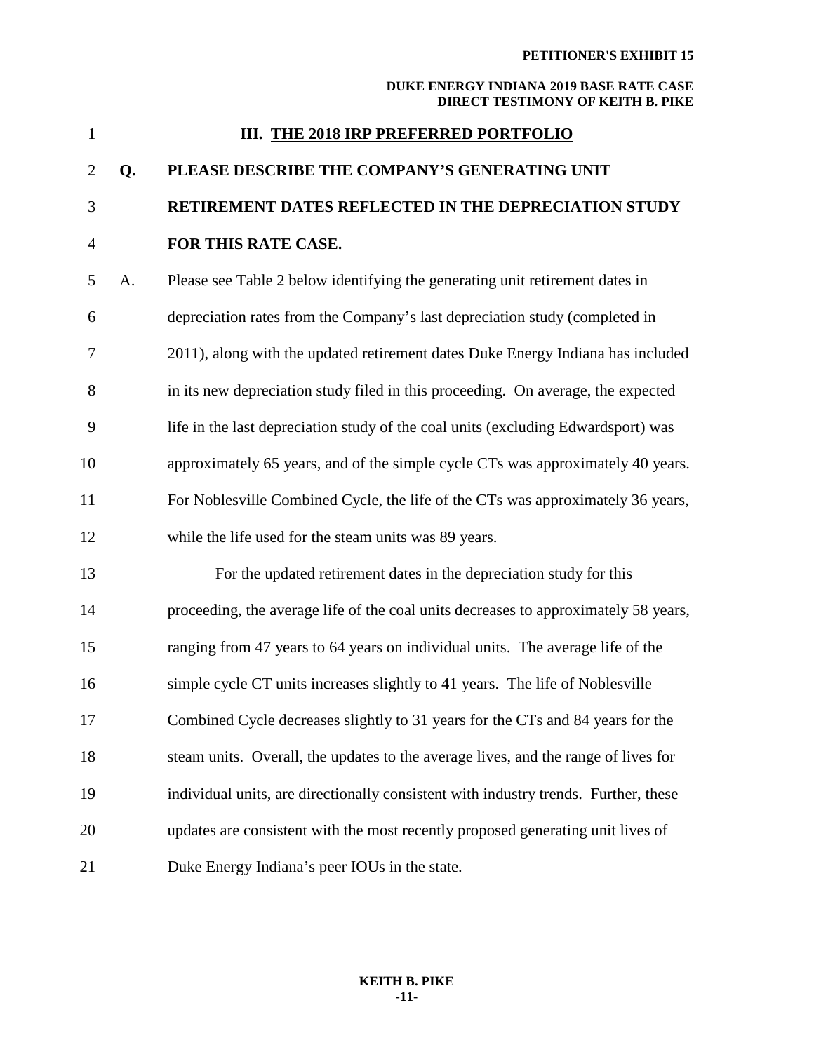|                                                                                                                                                                                                                                                                                                                                    | III. THE 2018 IRP PREFERRED PORTFOLIO                       |
|------------------------------------------------------------------------------------------------------------------------------------------------------------------------------------------------------------------------------------------------------------------------------------------------------------------------------------|-------------------------------------------------------------|
|                                                                                                                                                                                                                                                                                                                                    | 2 Q. PLEASE DESCRIBE THE COMPANY'S GENERATING UNIT          |
| $\overline{3}$                                                                                                                                                                                                                                                                                                                     | <b>RETIREMENT DATES REFLECTED IN THE DEPRECIATION STUDY</b> |
| $\overline{4}$ and $\overline{4}$ and $\overline{4}$ and $\overline{4}$ and $\overline{4}$ and $\overline{4}$ and $\overline{4}$ and $\overline{4}$ and $\overline{4}$ and $\overline{4}$ and $\overline{4}$ and $\overline{4}$ and $\overline{4}$ and $\overline{4}$ and $\overline{4}$ and $\overline{4}$ and $\overline{4}$ and | <b>FOR THIS RATE CASE.</b>                                  |

1 **III. THE 2018 IRP PREFERRED PORTFOLIO**

5 A. Please see Table 2 below identifying the generating unit retirement dates in 6 depreciation rates from the Company's last depreciation study (completed in 7 2011), along with the updated retirement dates Duke Energy Indiana has included 8 in its new depreciation study filed in this proceeding. On average, the expected 9 life in the last depreciation study of the coal units (excluding Edwardsport) was 10 approximately 65 years, and of the simple cycle CTs was approximately 40 years. 11 For Noblesville Combined Cycle, the life of the CTs was approximately 36 years, 12 while the life used for the steam units was 89 years.

13 For the updated retirement dates in the depreciation study for this 14 proceeding, the average life of the coal units decreases to approximately 58 years, 15 ranging from 47 years to 64 years on individual units. The average life of the 16 simple cycle CT units increases slightly to 41 years. The life of Noblesville 17 Combined Cycle decreases slightly to 31 years for the CTs and 84 years for the 18 steam units. Overall, the updates to the average lives, and the range of lives for 19 individual units, are directionally consistent with industry trends. Further, these 20 updates are consistent with the most recently proposed generating unit lives of 21 Duke Energy Indiana's peer IOUs in the state.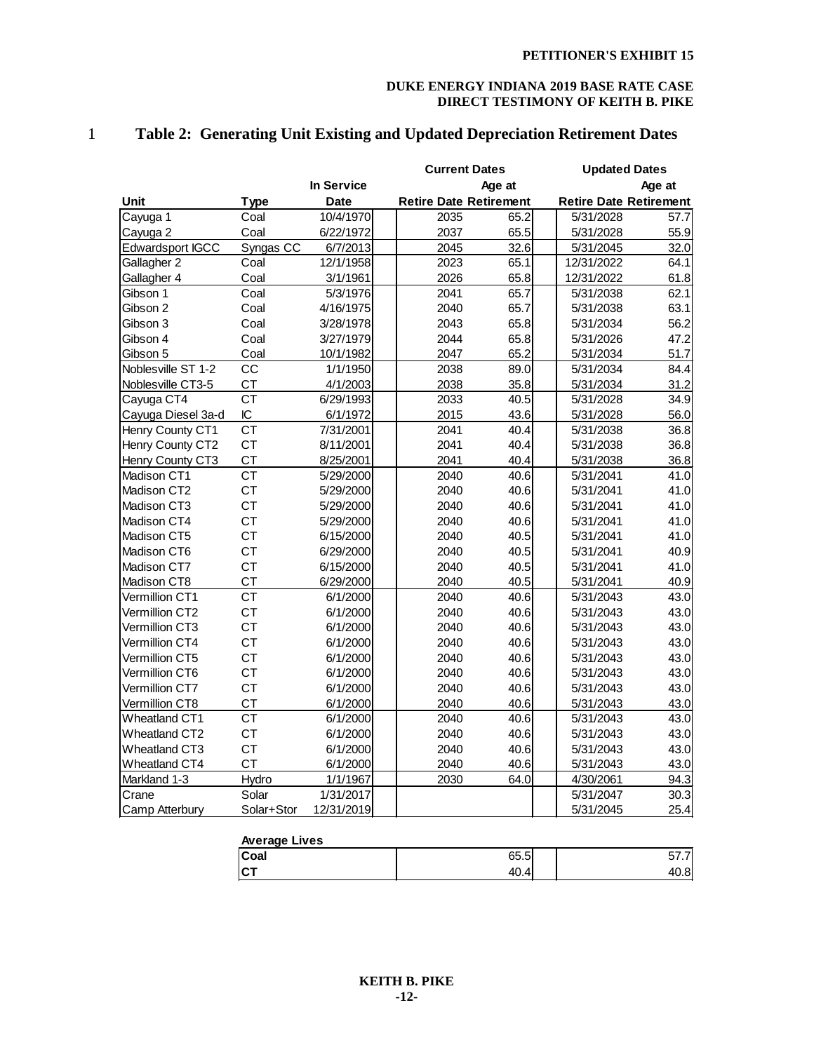|                      |                 |             |                               | <b>Current Dates</b> |                               | <b>Updated Dates</b> |
|----------------------|-----------------|-------------|-------------------------------|----------------------|-------------------------------|----------------------|
|                      |                 | In Service  |                               | Age at               |                               | Age at               |
| Unit                 | <b>Type</b>     | <b>Date</b> | <b>Retire Date Retirement</b> |                      | <b>Retire Date Retirement</b> |                      |
| Cayuga 1             | Coal            | 10/4/1970   | 2035                          | 65.2                 | 5/31/2028                     | 57.7                 |
| Cayuga 2             | Coal            | 6/22/1972   | 2037                          | 65.5                 | 5/31/2028                     | 55.9                 |
| Edwardsport IGCC     | Syngas CC       | 6/7/2013    | 2045                          | 32.6                 | 5/31/2045                     | 32.0                 |
| Gallagher 2          | Coal            | 12/1/1958   | 2023                          | 65.1                 | 12/31/2022                    | 64.1                 |
| Gallagher 4          | Coal            | 3/1/1961    | 2026                          | 65.8                 | 12/31/2022                    | 61.8                 |
| Gibson 1             | Coal            | 5/3/1976    | 2041                          | 65.7                 | 5/31/2038                     | 62.1                 |
| Gibson 2             | Coal            | 4/16/1975   | 2040                          | 65.7                 | 5/31/2038                     | 63.1                 |
| Gibson 3             | Coal            | 3/28/1978   | 2043                          | 65.8                 | 5/31/2034                     | 56.2                 |
| Gibson 4             | Coal            | 3/27/1979   | 2044                          | 65.8                 | 5/31/2026                     | 47.2                 |
| Gibson 5             | Coal            | 10/1/1982   | 2047                          | 65.2                 | 5/31/2034                     | 51.7                 |
| Noblesville ST 1-2   | CC              | 1/1/1950    | 2038                          | 89.0                 | 5/31/2034                     | 84.4                 |
| Noblesville CT3-5    | <b>CT</b>       | 4/1/2003    | 2038                          | 35.8                 | 5/31/2034                     | 31.2                 |
| Cayuga CT4           | $\overline{CT}$ | 6/29/1993   | 2033                          | 40.5                 | 5/31/2028                     | 34.9                 |
| Cayuga Diesel 3a-d   | IC              | 6/1/1972    | 2015                          | 43.6                 | 5/31/2028                     | 56.0                 |
| Henry County CT1     | <b>CT</b>       | 7/31/2001   | 2041                          | 40.4                 | 5/31/2038                     | 36.8                 |
| Henry County CT2     | <b>CT</b>       | 8/11/2001   | 2041                          | 40.4                 | 5/31/2038                     | 36.8                 |
| Henry County CT3     | <b>CT</b>       | 8/25/2001   | 2041                          | 40.4                 | 5/31/2038                     | 36.8                 |
| Madison CT1          | <b>CT</b>       | 5/29/2000   | 2040                          | 40.6                 | 5/31/2041                     | 41.0                 |
| Madison CT2          | <b>CT</b>       | 5/29/2000   | 2040                          | 40.6                 | 5/31/2041                     | 41.0                 |
| Madison CT3          | <b>CT</b>       | 5/29/2000   | 2040                          | 40.6                 | 5/31/2041                     | 41.0                 |
| Madison CT4          | <b>CT</b>       | 5/29/2000   | 2040                          | 40.6                 | 5/31/2041                     | 41.0                 |
| Madison CT5          | <b>CT</b>       | 6/15/2000   | 2040                          | 40.5                 | 5/31/2041                     | 41.0                 |
| Madison CT6          | <b>CT</b>       | 6/29/2000   | 2040                          | 40.5                 | 5/31/2041                     | 40.9                 |
| Madison CT7          | <b>CT</b>       | 6/15/2000   | 2040                          | 40.5                 | 5/31/2041                     | 41.0                 |
| Madison CT8          | <b>CT</b>       | 6/29/2000   | 2040                          | 40.5                 | 5/31/2041                     | 40.9                 |
| Vermillion CT1       | <b>CT</b>       | 6/1/2000    | 2040                          | 40.6                 | 5/31/2043                     | 43.0                 |
| Vermillion CT2       | <b>CT</b>       | 6/1/2000    | 2040                          | 40.6                 | 5/31/2043                     | 43.0                 |
| Vermillion CT3       | <b>CT</b>       | 6/1/2000    | 2040                          | 40.6                 | 5/31/2043                     | 43.0                 |
| Vermillion CT4       | <b>CT</b>       | 6/1/2000    | 2040                          | 40.6                 | 5/31/2043                     | 43.0                 |
| Vermillion CT5       | <b>CT</b>       | 6/1/2000    | 2040                          | 40.6                 | 5/31/2043                     | 43.0                 |
| Vermillion CT6       | <b>CT</b>       | 6/1/2000    | 2040                          | 40.6                 | 5/31/2043                     | 43.0                 |
| Vermillion CT7       | <b>CT</b>       | 6/1/2000    | 2040                          | 40.6                 | 5/31/2043                     | 43.0                 |
| Vermillion CT8       | <b>CT</b>       | 6/1/2000    | 2040                          | 40.6                 | 5/31/2043                     | 43.0                 |
| <b>Wheatland CT1</b> | <b>CT</b>       | 6/1/2000    | 2040                          | 40.6                 | 5/31/2043                     | 43.0                 |
| Wheatland CT2        | <b>CT</b>       | 6/1/2000    | 2040                          | 40.6                 | 5/31/2043                     | 43.0                 |
| Wheatland CT3        | <b>CT</b>       | 6/1/2000    | 2040                          | 40.6                 | 5/31/2043                     | 43.0                 |
| Wheatland CT4        | <b>CT</b>       | 6/1/2000    | 2040                          | 40.6                 | 5/31/2043                     | 43.0                 |
| Markland 1-3         | Hydro           | 1/1/1967    | 2030                          | 64.0                 | 4/30/2061                     | 94.3                 |
| Crane                | Solar           | 1/31/2017   |                               |                      | 5/31/2047                     | 30.3                 |
| Camp Atterbury       | Solar+Stor      | 12/31/2019  |                               |                      | 5/31/2045                     | 25.4                 |

## 1 **Table 2: Generating Unit Existing and Updated Depreciation Retirement Dates**

| <b>Average Lives</b> |      |       |  |  |
|----------------------|------|-------|--|--|
| <b>Coal</b>          | 65.5 |       |  |  |
| <b>ICT</b>           | 40.4 | HU.OI |  |  |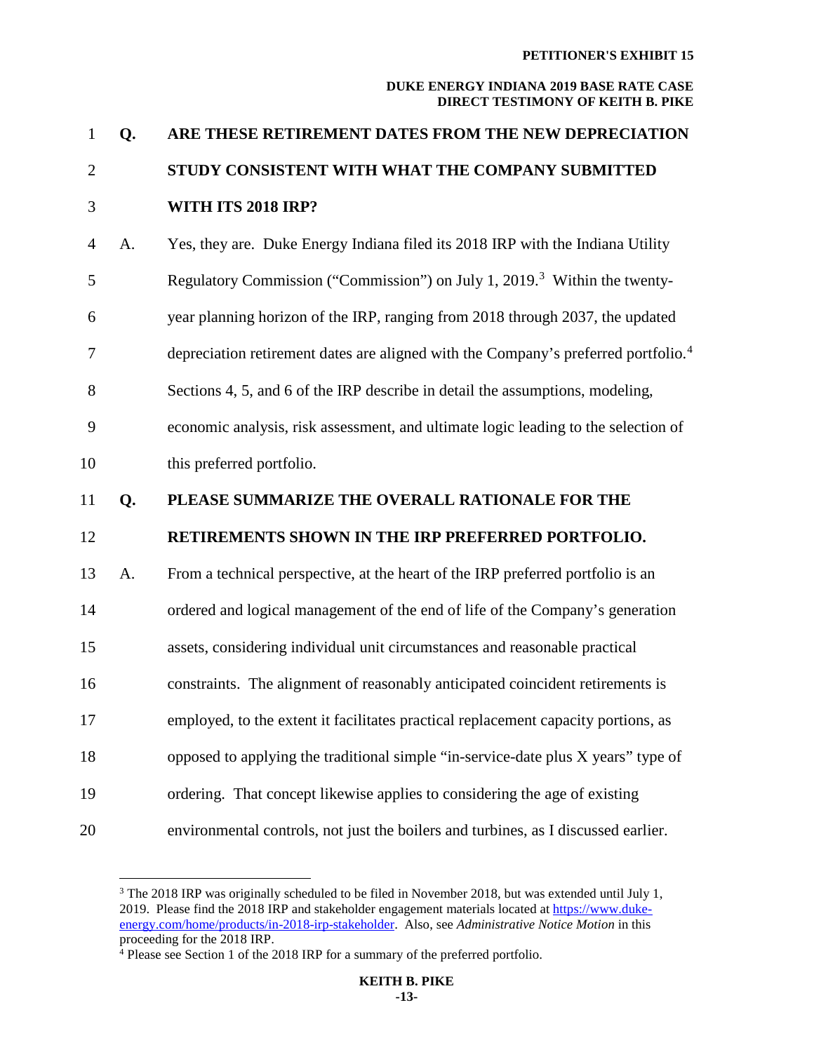| $\mathbf{1}$   | Q. | ARE THESE RETIREMENT DATES FROM THE NEW DEPRECIATION                                           |
|----------------|----|------------------------------------------------------------------------------------------------|
| $\overline{2}$ |    | STUDY CONSISTENT WITH WHAT THE COMPANY SUBMITTED                                               |
| 3              |    | <b>WITH ITS 2018 IRP?</b>                                                                      |
| $\overline{4}$ | A. | Yes, they are. Duke Energy Indiana filed its 2018 IRP with the Indiana Utility                 |
| 5              |    | Regulatory Commission ("Commission") on July 1, 2019. <sup>3</sup> Within the twenty-          |
| 6              |    | year planning horizon of the IRP, ranging from 2018 through 2037, the updated                  |
| 7              |    | depreciation retirement dates are aligned with the Company's preferred portfolio. <sup>4</sup> |
| 8              |    | Sections 4, 5, and 6 of the IRP describe in detail the assumptions, modeling,                  |
| 9              |    | economic analysis, risk assessment, and ultimate logic leading to the selection of             |
| 10             |    | this preferred portfolio.                                                                      |
| 11             | Q. | PLEASE SUMMARIZE THE OVERALL RATIONALE FOR THE                                                 |
| 12             |    | RETIREMENTS SHOWN IN THE IRP PREFERRED PORTFOLIO.                                              |
| 13             | A. | From a technical perspective, at the heart of the IRP preferred portfolio is an                |
| 14             |    | ordered and logical management of the end of life of the Company's generation                  |
| 15             |    | assets, considering individual unit circumstances and reasonable practical                     |
| 16             |    | constraints. The alignment of reasonably anticipated coincident retirements is                 |
| 17             |    | employed, to the extent it facilitates practical replacement capacity portions, as             |
| 18             |    | opposed to applying the traditional simple "in-service-date plus X years" type of              |
| 19             |    | ordering. That concept likewise applies to considering the age of existing                     |
| 20             |    | environmental controls, not just the boilers and turbines, as I discussed earlier.             |

<span id="page-13-0"></span><sup>&</sup>lt;sup>3</sup> The 2018 IRP was originally scheduled to be filed in November 2018, but was extended until July 1, 2019. Please find the 2018 IRP and stakeholder engagement materials located at [https://www.duke](https://www.duke-energy.com/home/products/in-2018-irp-stakeholder)[energy.com/home/products/in-2018-irp-stakeholder.](https://www.duke-energy.com/home/products/in-2018-irp-stakeholder) Also, see *Administrative Notice Motion* in this proceeding for the 2018 IRP.

<span id="page-13-1"></span><sup>&</sup>lt;sup>4</sup> Please see Section 1 of the 2018 IRP for a summary of the preferred portfolio.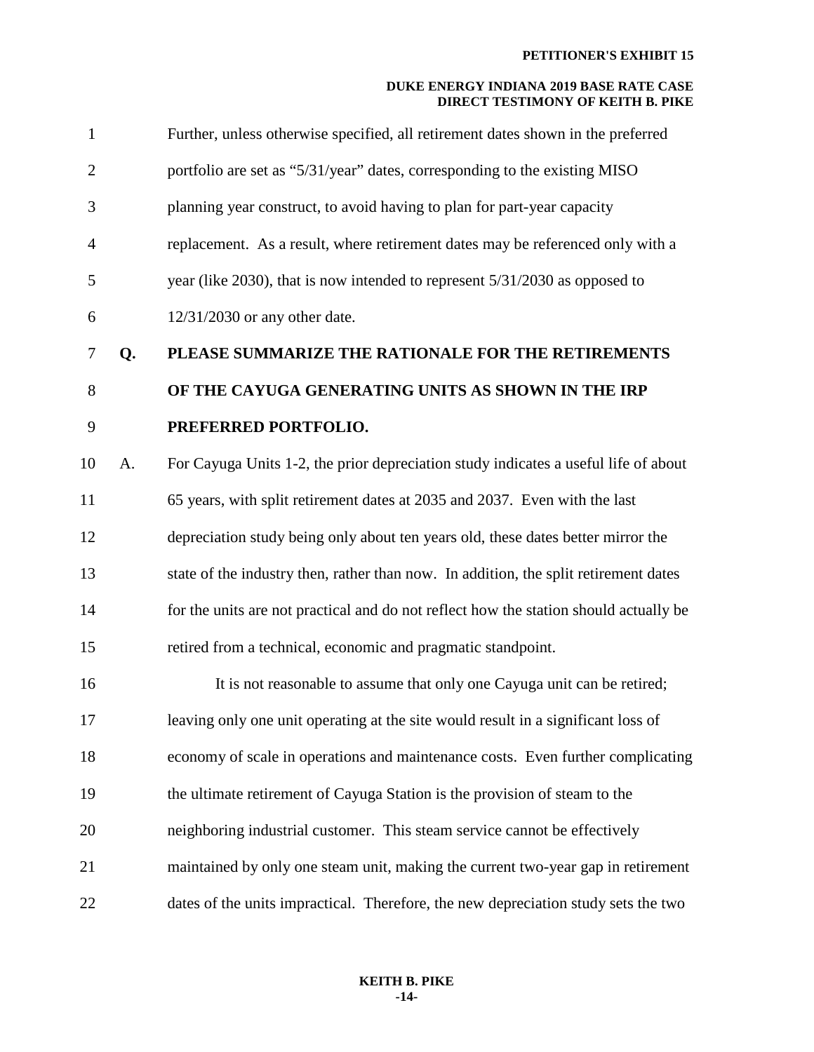| $\mathbf{1}$   |    | Further, unless otherwise specified, all retirement dates shown in the preferred      |
|----------------|----|---------------------------------------------------------------------------------------|
| $\overline{2}$ |    | portfolio are set as "5/31/year" dates, corresponding to the existing MISO            |
| 3              |    | planning year construct, to avoid having to plan for part-year capacity               |
| $\overline{4}$ |    | replacement. As a result, where retirement dates may be referenced only with a        |
| 5              |    | year (like 2030), that is now intended to represent 5/31/2030 as opposed to           |
| 6              |    | 12/31/2030 or any other date.                                                         |
| $\tau$         | Q. | PLEASE SUMMARIZE THE RATIONALE FOR THE RETIREMENTS                                    |
| 8              |    | OF THE CAYUGA GENERATING UNITS AS SHOWN IN THE IRP                                    |
| 9              |    | PREFERRED PORTFOLIO.                                                                  |
| 10             | A. | For Cayuga Units 1-2, the prior depreciation study indicates a useful life of about   |
| 11             |    | 65 years, with split retirement dates at 2035 and 2037. Even with the last            |
| 12             |    | depreciation study being only about ten years old, these dates better mirror the      |
| 13             |    | state of the industry then, rather than now. In addition, the split retirement dates  |
| 14             |    | for the units are not practical and do not reflect how the station should actually be |
| 15             |    | retired from a technical, economic and pragmatic standpoint.                          |
| 16             |    | It is not reasonable to assume that only one Cayuga unit can be retired;              |
| 17             |    | leaving only one unit operating at the site would result in a significant loss of     |
| 18             |    | economy of scale in operations and maintenance costs. Even further complicating       |
| 19             |    | the ultimate retirement of Cayuga Station is the provision of steam to the            |
| 20             |    | neighboring industrial customer. This steam service cannot be effectively             |
| 21             |    | maintained by only one steam unit, making the current two-year gap in retirement      |
| 22             |    | dates of the units impractical. Therefore, the new depreciation study sets the two    |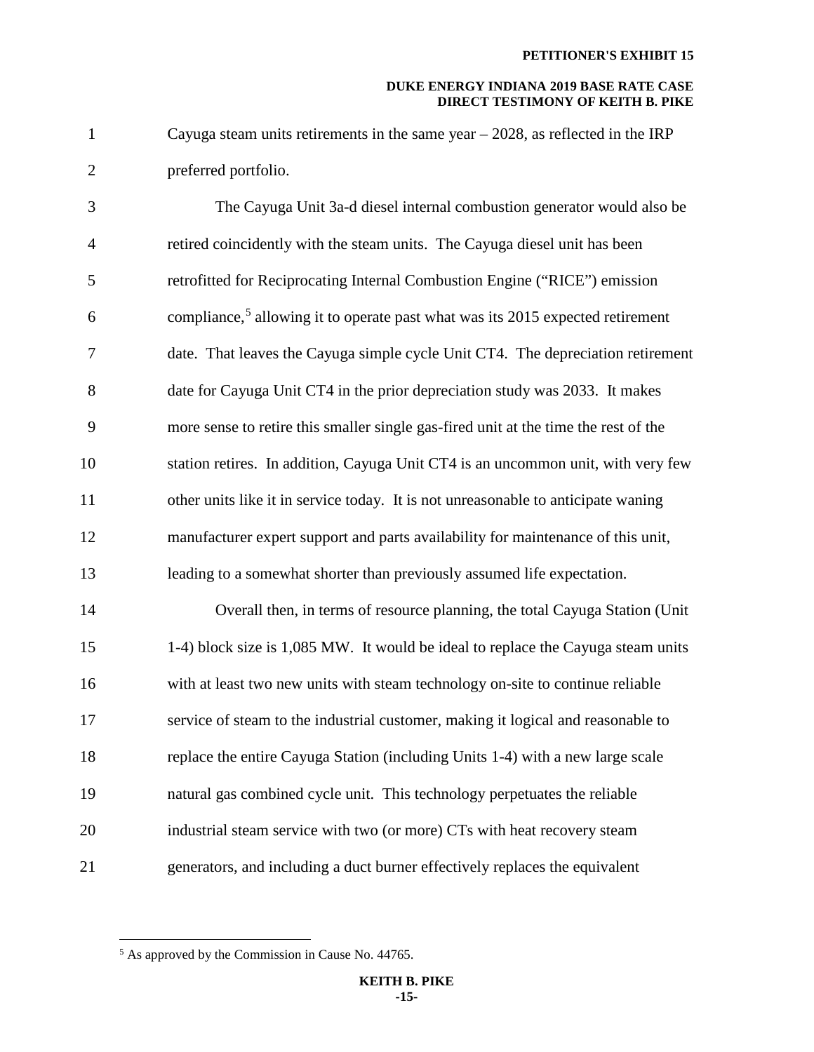1 Cayuga steam units retirements in the same year – 2028, as reflected in the IRP 2 preferred portfolio.

3 The Cayuga Unit 3a-d diesel internal combustion generator would also be 4 retired coincidently with the steam units. The Cayuga diesel unit has been 5 retrofitted for Reciprocating Internal Combustion Engine ("RICE") emission 6 compliance,<sup>[5](#page-15-0)</sup> allowing it to operate past what was its 2015 expected retirement 7 date. That leaves the Cayuga simple cycle Unit CT4. The depreciation retirement 8 date for Cayuga Unit CT4 in the prior depreciation study was 2033. It makes 9 more sense to retire this smaller single gas-fired unit at the time the rest of the 10 station retires. In addition, Cayuga Unit CT4 is an uncommon unit, with very few 11 other units like it in service today. It is not unreasonable to anticipate waning 12 manufacturer expert support and parts availability for maintenance of this unit, 13 leading to a somewhat shorter than previously assumed life expectation.

14 Overall then, in terms of resource planning, the total Cayuga Station (Unit 15 1-4) block size is 1,085 MW. It would be ideal to replace the Cayuga steam units 16 with at least two new units with steam technology on-site to continue reliable 17 service of steam to the industrial customer, making it logical and reasonable to 18 replace the entire Cayuga Station (including Units 1-4) with a new large scale 19 natural gas combined cycle unit. This technology perpetuates the reliable 20 industrial steam service with two (or more) CTs with heat recovery steam 21 generators, and including a duct burner effectively replaces the equivalent

<span id="page-15-0"></span> $<sup>5</sup>$  As approved by the Commission in Cause No. 44765.</sup>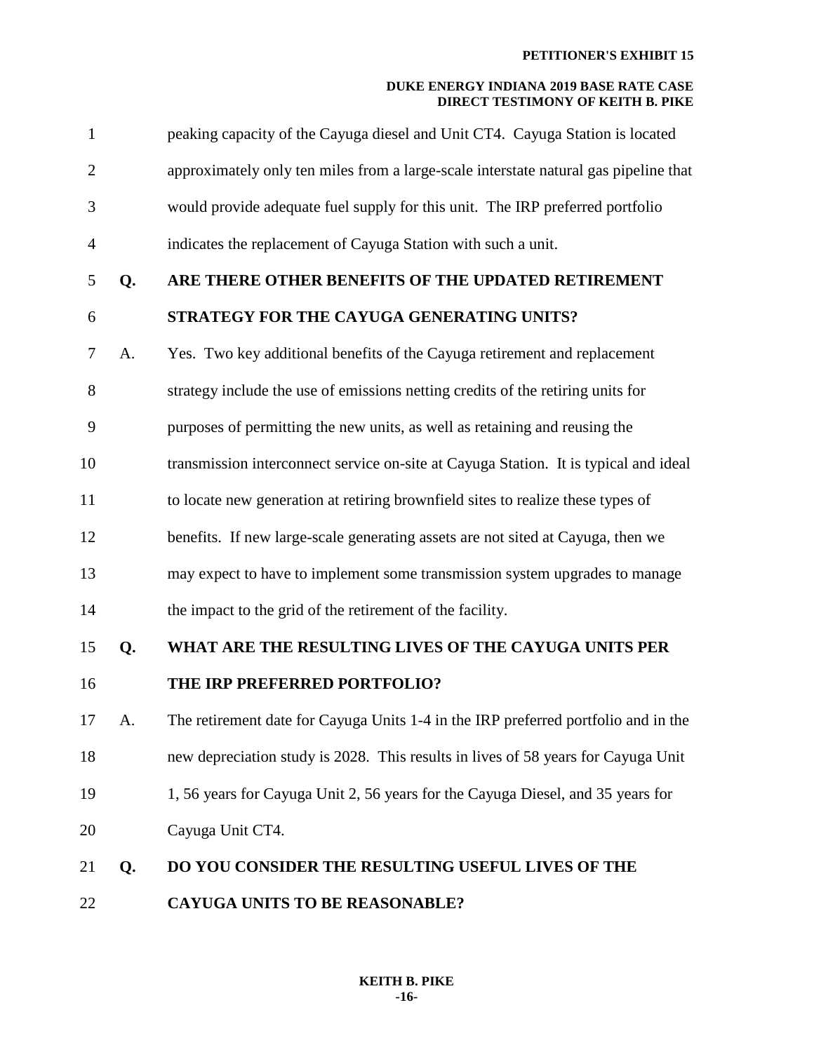| $\mathbf{1}$   |    | peaking capacity of the Cayuga diesel and Unit CT4. Cayuga Station is located        |
|----------------|----|--------------------------------------------------------------------------------------|
| $\overline{2}$ |    | approximately only ten miles from a large-scale interstate natural gas pipeline that |
| 3              |    | would provide adequate fuel supply for this unit. The IRP preferred portfolio        |
| $\overline{4}$ |    | indicates the replacement of Cayuga Station with such a unit.                        |
| 5              | Q. | ARE THERE OTHER BENEFITS OF THE UPDATED RETIREMENT                                   |
| 6              |    | STRATEGY FOR THE CAYUGA GENERATING UNITS?                                            |
| 7              | A. | Yes. Two key additional benefits of the Cayuga retirement and replacement            |
| 8              |    | strategy include the use of emissions netting credits of the retiring units for      |
| 9              |    | purposes of permitting the new units, as well as retaining and reusing the           |
| 10             |    | transmission interconnect service on-site at Cayuga Station. It is typical and ideal |
| 11             |    | to locate new generation at retiring brownfield sites to realize these types of      |
| 12             |    | benefits. If new large-scale generating assets are not sited at Cayuga, then we      |
| 13             |    | may expect to have to implement some transmission system upgrades to manage          |
| 14             |    | the impact to the grid of the retirement of the facility.                            |
| 15             | Q. | WHAT ARE THE RESULTING LIVES OF THE CAYUGA UNITS PER                                 |
| 16             |    | THE IRP PREFERRED PORTFOLIO?                                                         |
| 17             | А. | The retirement date for Cayuga Units 1-4 in the IRP preferred portfolio and in the   |
| 18             |    | new depreciation study is 2028. This results in lives of 58 years for Cayuga Unit    |
| 19             |    | 1, 56 years for Cayuga Unit 2, 56 years for the Cayuga Diesel, and 35 years for      |
| 20             |    | Cayuga Unit CT4.                                                                     |
| 21             | Q. | DO YOU CONSIDER THE RESULTING USEFUL LIVES OF THE                                    |
| 22             |    | <b>CAYUGA UNITS TO BE REASONABLE?</b>                                                |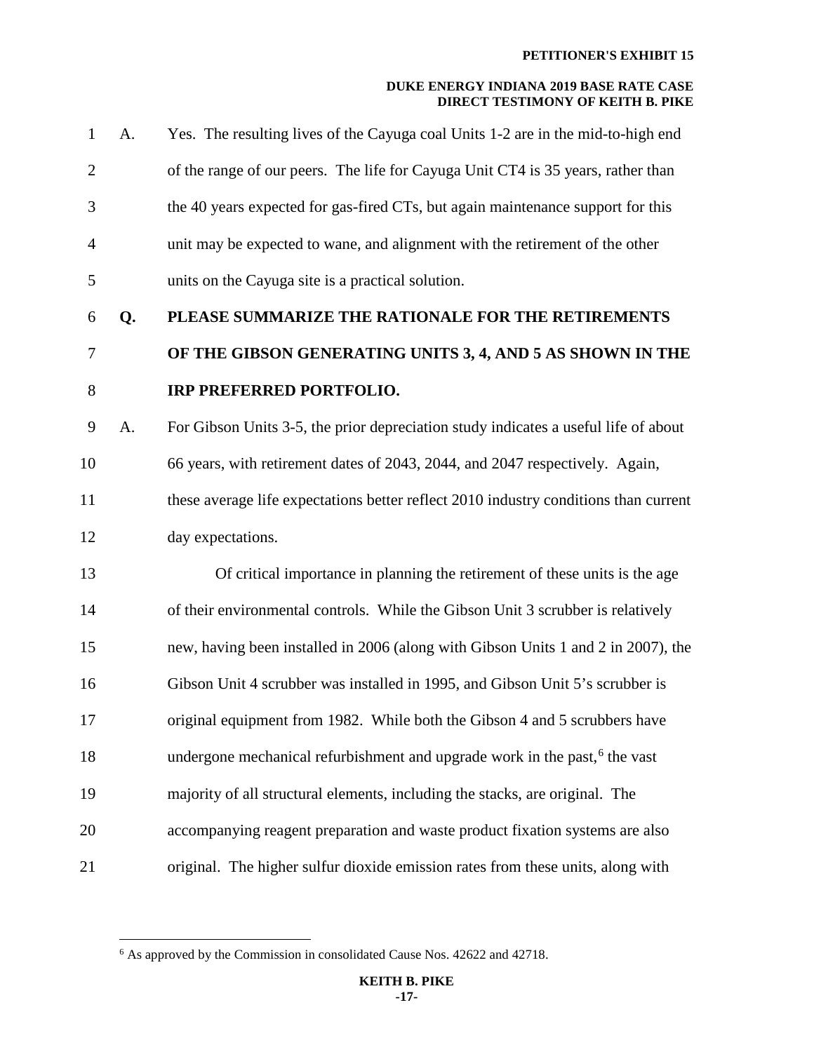| 1              | A. | Yes. The resulting lives of the Cayuga coal Units 1-2 are in the mid-to-high end       |
|----------------|----|----------------------------------------------------------------------------------------|
| $\overline{2}$ |    | of the range of our peers. The life for Cayuga Unit CT4 is 35 years, rather than       |
| 3              |    | the 40 years expected for gas-fired CTs, but again maintenance support for this        |
| 4              |    | unit may be expected to wane, and alignment with the retirement of the other           |
| 5              |    | units on the Cayuga site is a practical solution.                                      |
| 6              | Q. | PLEASE SUMMARIZE THE RATIONALE FOR THE RETIREMENTS                                     |
| 7              |    | OF THE GIBSON GENERATING UNITS 3, 4, AND 5 AS SHOWN IN THE                             |
| 8              |    | <b>IRP PREFERRED PORTFOLIO.</b>                                                        |
| 9              | A. | For Gibson Units 3-5, the prior depreciation study indicates a useful life of about    |
| 10             |    | 66 years, with retirement dates of 2043, 2044, and 2047 respectively. Again,           |
| 11             |    | these average life expectations better reflect 2010 industry conditions than current   |
| 12             |    | day expectations.                                                                      |
| 13             |    | Of critical importance in planning the retirement of these units is the age            |
| 14             |    | of their environmental controls. While the Gibson Unit 3 scrubber is relatively        |
| 15             |    | new, having been installed in 2006 (along with Gibson Units 1 and 2 in 2007), the      |
| 16             |    | Gibson Unit 4 scrubber was installed in 1995, and Gibson Unit 5's scrubber is          |
| 17             |    | original equipment from 1982. While both the Gibson 4 and 5 scrubbers have             |
| 18             |    | undergone mechanical refurbishment and upgrade work in the past, <sup>6</sup> the vast |
| 19             |    | majority of all structural elements, including the stacks, are original. The           |
| 20             |    | accompanying reagent preparation and waste product fixation systems are also           |
| 21             |    | original. The higher sulfur dioxide emission rates from these units, along with        |

<span id="page-17-0"></span> $6$  As approved by the Commission in consolidated Cause Nos. 42622 and 42718.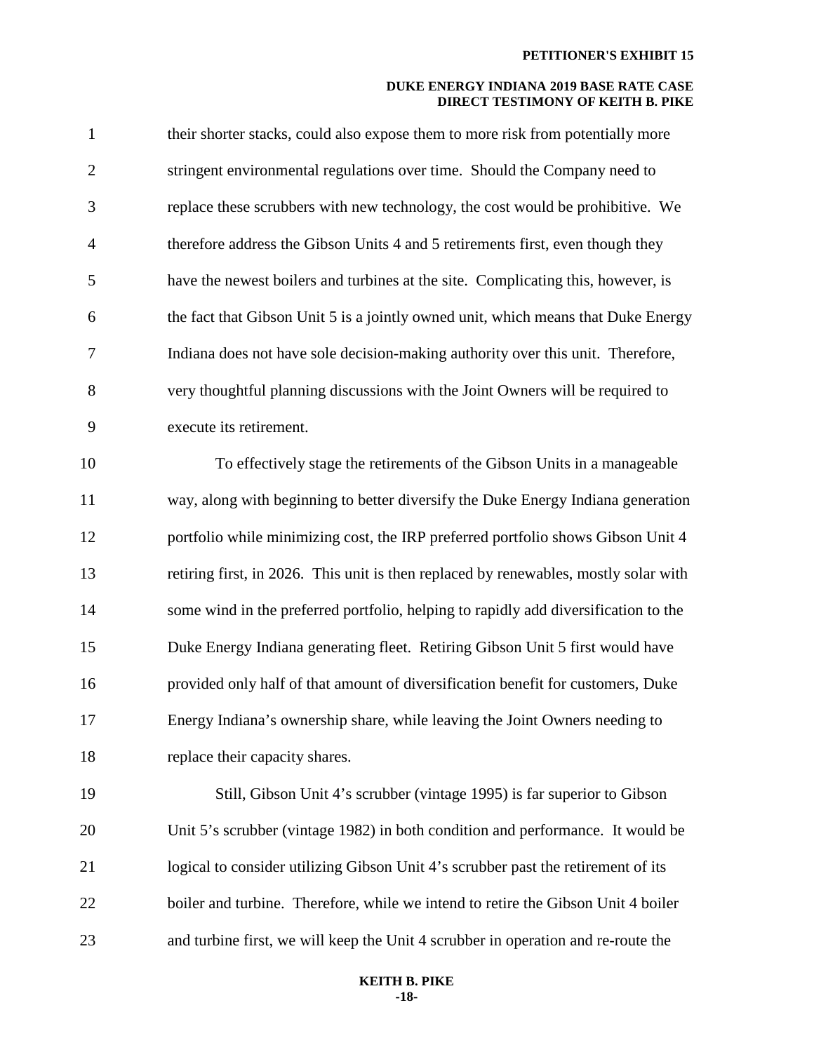| $\mathbf{1}$   | their shorter stacks, could also expose them to more risk from potentially more      |
|----------------|--------------------------------------------------------------------------------------|
| $\overline{2}$ | stringent environmental regulations over time. Should the Company need to            |
| 3              | replace these scrubbers with new technology, the cost would be prohibitive. We       |
| $\overline{4}$ | therefore address the Gibson Units 4 and 5 retirements first, even though they       |
| 5              | have the newest boilers and turbines at the site. Complicating this, however, is     |
| 6              | the fact that Gibson Unit 5 is a jointly owned unit, which means that Duke Energy    |
| 7              | Indiana does not have sole decision-making authority over this unit. Therefore,      |
| 8              | very thoughtful planning discussions with the Joint Owners will be required to       |
| 9              | execute its retirement.                                                              |
| 10             | To effectively stage the retirements of the Gibson Units in a manageable             |
| 11             | way, along with beginning to better diversify the Duke Energy Indiana generation     |
| 12             | portfolio while minimizing cost, the IRP preferred portfolio shows Gibson Unit 4     |
| 13             | retiring first, in 2026. This unit is then replaced by renewables, mostly solar with |
| 14             | some wind in the preferred portfolio, helping to rapidly add diversification to the  |
| 15             | Duke Energy Indiana generating fleet. Retiring Gibson Unit 5 first would have        |
| 16             | provided only half of that amount of diversification benefit for customers, Duke     |
| 17             | Energy Indiana's ownership share, while leaving the Joint Owners needing to          |
| 18             | replace their capacity shares.                                                       |
| 19             | Still, Gibson Unit 4's scrubber (vintage 1995) is far superior to Gibson             |
| 20             | Unit 5's scrubber (vintage 1982) in both condition and performance. It would be      |
| 21             | logical to consider utilizing Gibson Unit 4's scrubber past the retirement of its    |
| 22             | boiler and turbine. Therefore, while we intend to retire the Gibson Unit 4 boiler    |
| 23             | and turbine first, we will keep the Unit 4 scrubber in operation and re-route the    |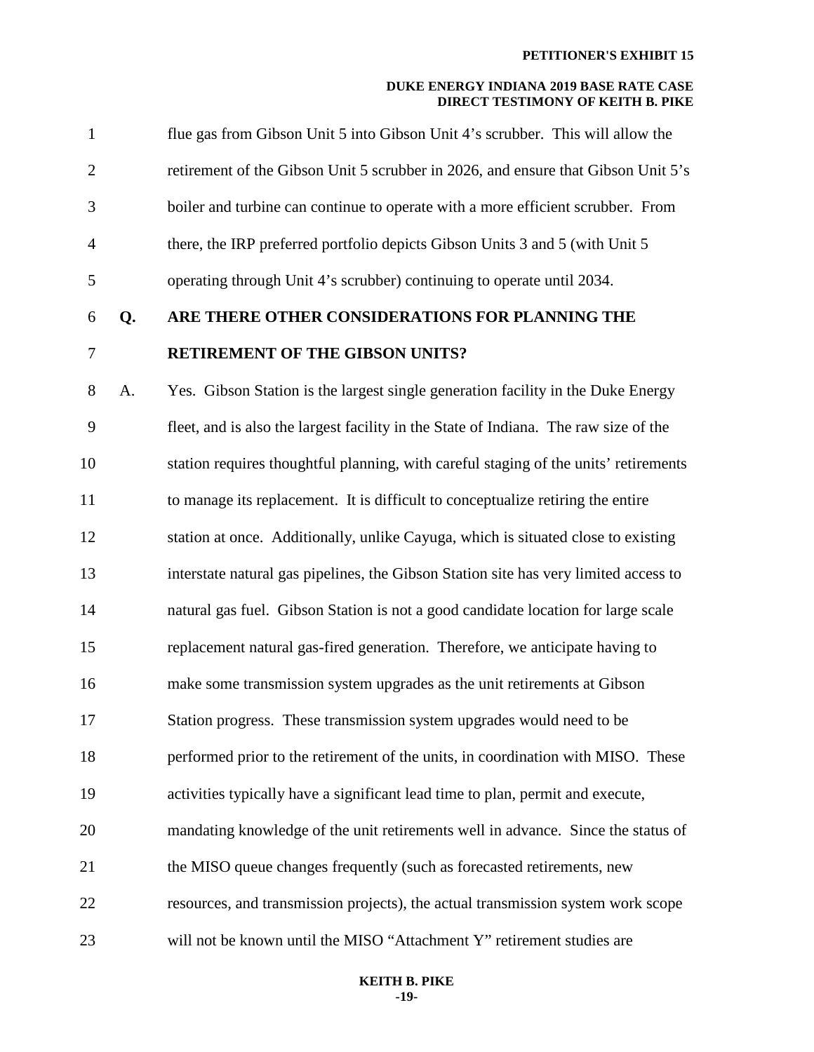| 7              |    | <b>RETIREMENT OF THE GIBSON UNITS?</b>                                            |
|----------------|----|-----------------------------------------------------------------------------------|
| 6              | O. | ARE THERE OTHER CONSIDERATIONS FOR PLANNING THE                                   |
| 5              |    | operating through Unit 4's scrubber) continuing to operate until 2034.            |
| $\overline{4}$ |    | there, the IRP preferred portfolio depicts Gibson Units 3 and 5 (with Unit 5)     |
| 3              |    | boiler and turbine can continue to operate with a more efficient scrubber. From   |
| 2              |    | retirement of the Gibson Unit 5 scrubber in 2026, and ensure that Gibson Unit 5's |
| $\mathbf{1}$   |    | flue gas from Gibson Unit 5 into Gibson Unit 4's scrubber. This will allow the    |

8 A. Yes. Gibson Station is the largest single generation facility in the Duke Energy 9 fleet, and is also the largest facility in the State of Indiana. The raw size of the 10 station requires thoughtful planning, with careful staging of the units' retirements 11 to manage its replacement. It is difficult to conceptualize retiring the entire 12 station at once. Additionally, unlike Cayuga, which is situated close to existing 13 interstate natural gas pipelines, the Gibson Station site has very limited access to 14 natural gas fuel. Gibson Station is not a good candidate location for large scale 15 replacement natural gas-fired generation. Therefore, we anticipate having to 16 make some transmission system upgrades as the unit retirements at Gibson 17 Station progress. These transmission system upgrades would need to be 18 performed prior to the retirement of the units, in coordination with MISO. These 19 activities typically have a significant lead time to plan, permit and execute, 20 mandating knowledge of the unit retirements well in advance. Since the status of 21 the MISO queue changes frequently (such as forecasted retirements, new 22 resources, and transmission projects), the actual transmission system work scope 23 will not be known until the MISO "Attachment Y" retirement studies are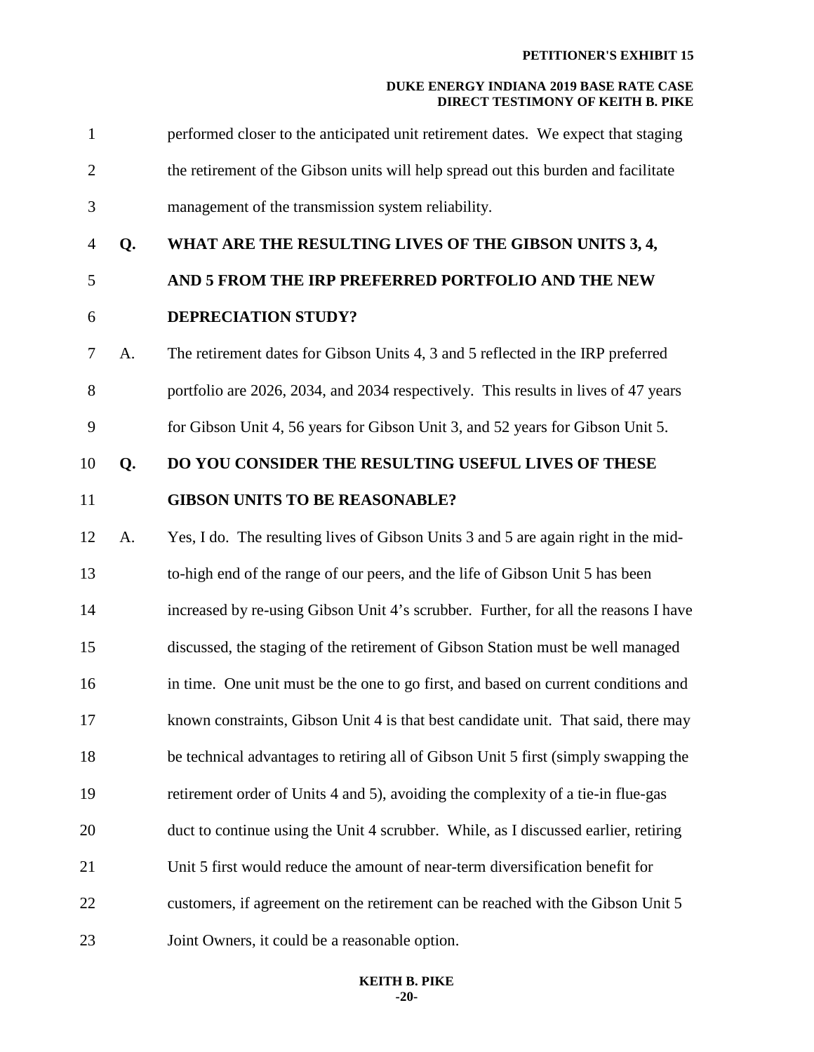1 performed closer to the anticipated unit retirement dates. We expect that staging 2 the retirement of the Gibson units will help spread out this burden and facilitate 3 management of the transmission system reliability. 4 **Q. WHAT ARE THE RESULTING LIVES OF THE GIBSON UNITS 3, 4,**  5 **AND 5 FROM THE IRP PREFERRED PORTFOLIO AND THE NEW** 6 **DEPRECIATION STUDY?**  7 A. The retirement dates for Gibson Units 4, 3 and 5 reflected in the IRP preferred 8 portfolio are 2026, 2034, and 2034 respectively. This results in lives of 47 years 9 for Gibson Unit 4, 56 years for Gibson Unit 3, and 52 years for Gibson Unit 5. 10 **Q. DO YOU CONSIDER THE RESULTING USEFUL LIVES OF THESE** 11 **GIBSON UNITS TO BE REASONABLE?**  12 A. Yes, I do. The resulting lives of Gibson Units 3 and 5 are again right in the mid-13 to-high end of the range of our peers, and the life of Gibson Unit 5 has been 14 increased by re-using Gibson Unit 4's scrubber. Further, for all the reasons I have 15 discussed, the staging of the retirement of Gibson Station must be well managed 16 in time. One unit must be the one to go first, and based on current conditions and 17 known constraints, Gibson Unit 4 is that best candidate unit. That said, there may 18 be technical advantages to retiring all of Gibson Unit 5 first (simply swapping the 19 retirement order of Units 4 and 5), avoiding the complexity of a tie-in flue-gas 20 duct to continue using the Unit 4 scrubber. While, as I discussed earlier, retiring 21 Unit 5 first would reduce the amount of near-term diversification benefit for 22 customers, if agreement on the retirement can be reached with the Gibson Unit 5 23 Joint Owners, it could be a reasonable option.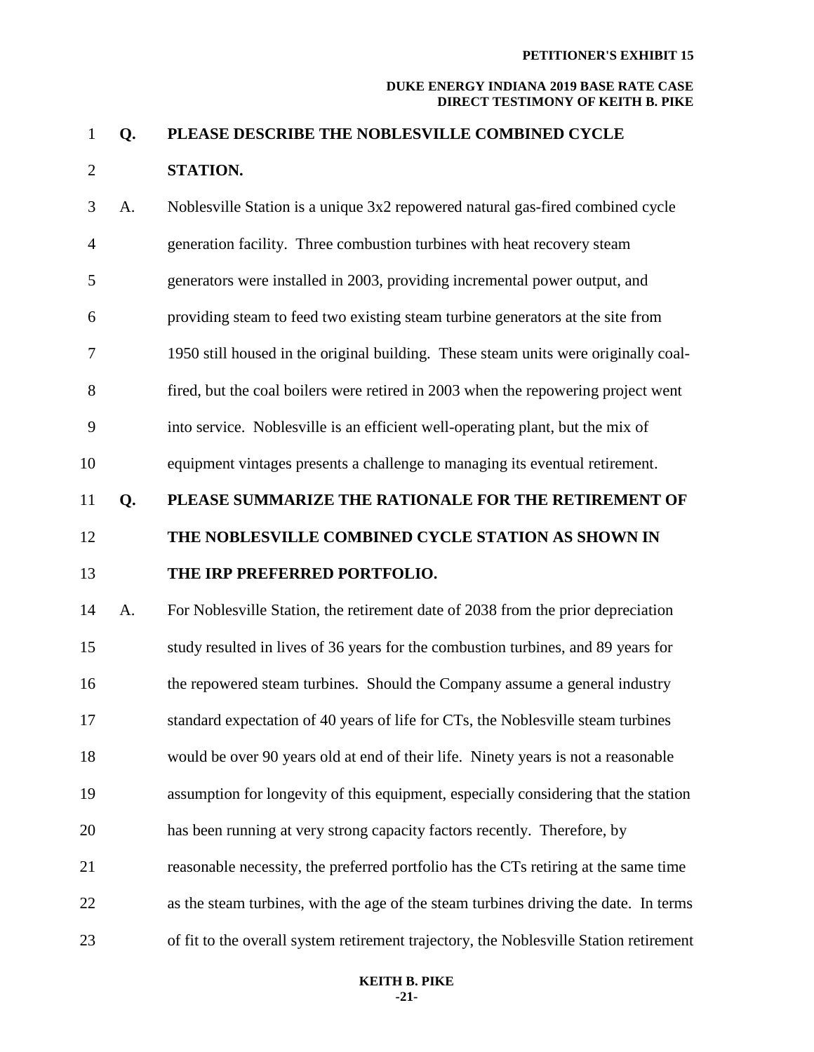## 1 **Q. PLEASE DESCRIBE THE NOBLESVILLE COMBINED CYCLE**  2 **STATION.**

3 A. Noblesville Station is a unique 3x2 repowered natural gas-fired combined cycle 4 generation facility. Three combustion turbines with heat recovery steam 5 generators were installed in 2003, providing incremental power output, and 6 providing steam to feed two existing steam turbine generators at the site from 7 1950 still housed in the original building. These steam units were originally coal-8 fired, but the coal boilers were retired in 2003 when the repowering project went 9 into service. Noblesville is an efficient well-operating plant, but the mix of 10 equipment vintages presents a challenge to managing its eventual retirement.

11 **Q. PLEASE SUMMARIZE THE RATIONALE FOR THE RETIREMENT OF** 

12 **THE NOBLESVILLE COMBINED CYCLE STATION AS SHOWN IN** 

## 13 **THE IRP PREFERRED PORTFOLIO.**

14 A. For Noblesville Station, the retirement date of 2038 from the prior depreciation 15 study resulted in lives of 36 years for the combustion turbines, and 89 years for 16 the repowered steam turbines. Should the Company assume a general industry 17 standard expectation of 40 years of life for CTs, the Noblesville steam turbines 18 would be over 90 years old at end of their life. Ninety years is not a reasonable 19 assumption for longevity of this equipment, especially considering that the station 20 has been running at very strong capacity factors recently. Therefore, by 21 reasonable necessity, the preferred portfolio has the CTs retiring at the same time 22 as the steam turbines, with the age of the steam turbines driving the date. In terms 23 of fit to the overall system retirement trajectory, the Noblesville Station retirement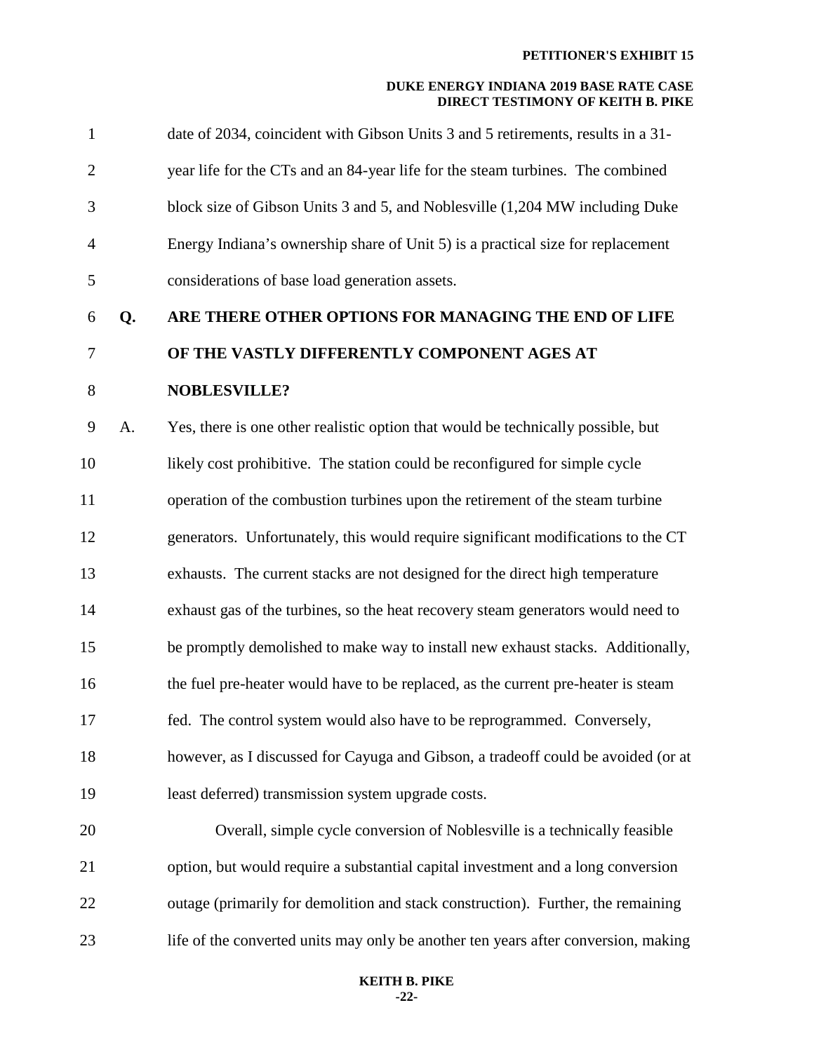| 1              |    | date of 2034, coincident with Gibson Units 3 and 5 retirements, results in a 31-   |
|----------------|----|------------------------------------------------------------------------------------|
| $\overline{2}$ |    | year life for the CTs and an 84-year life for the steam turbines. The combined     |
| 3              |    | block size of Gibson Units 3 and 5, and Noblesville (1,204 MW including Duke       |
| $\overline{4}$ |    | Energy Indiana's ownership share of Unit 5) is a practical size for replacement    |
| $\mathfrak{S}$ |    | considerations of base load generation assets.                                     |
| 6              | Q. | ARE THERE OTHER OPTIONS FOR MANAGING THE END OF LIFE                               |
| 7              |    | OF THE VASTLY DIFFERENTLY COMPONENT AGES AT                                        |
| $8\,$          |    | <b>NOBLESVILLE?</b>                                                                |
| 9              | A. | Yes, there is one other realistic option that would be technically possible, but   |
| 10             |    | likely cost prohibitive. The station could be reconfigured for simple cycle        |
| 11             |    | operation of the combustion turbines upon the retirement of the steam turbine      |
| 12             |    | generators. Unfortunately, this would require significant modifications to the CT  |
| 13             |    | exhausts. The current stacks are not designed for the direct high temperature      |
| 14             |    | exhaust gas of the turbines, so the heat recovery steam generators would need to   |
| 15             |    | be promptly demolished to make way to install new exhaust stacks. Additionally,    |
| 16             |    | the fuel pre-heater would have to be replaced, as the current pre-heater is steam  |
| 17             |    | fed. The control system would also have to be reprogrammed. Conversely,            |
| 18             |    | however, as I discussed for Cayuga and Gibson, a tradeoff could be avoided (or at  |
| 19             |    | least deferred) transmission system upgrade costs.                                 |
| 20             |    | Overall, simple cycle conversion of Noblesville is a technically feasible          |
| 21             |    | option, but would require a substantial capital investment and a long conversion   |
| 22             |    | outage (primarily for demolition and stack construction). Further, the remaining   |
| 23             |    | life of the converted units may only be another ten years after conversion, making |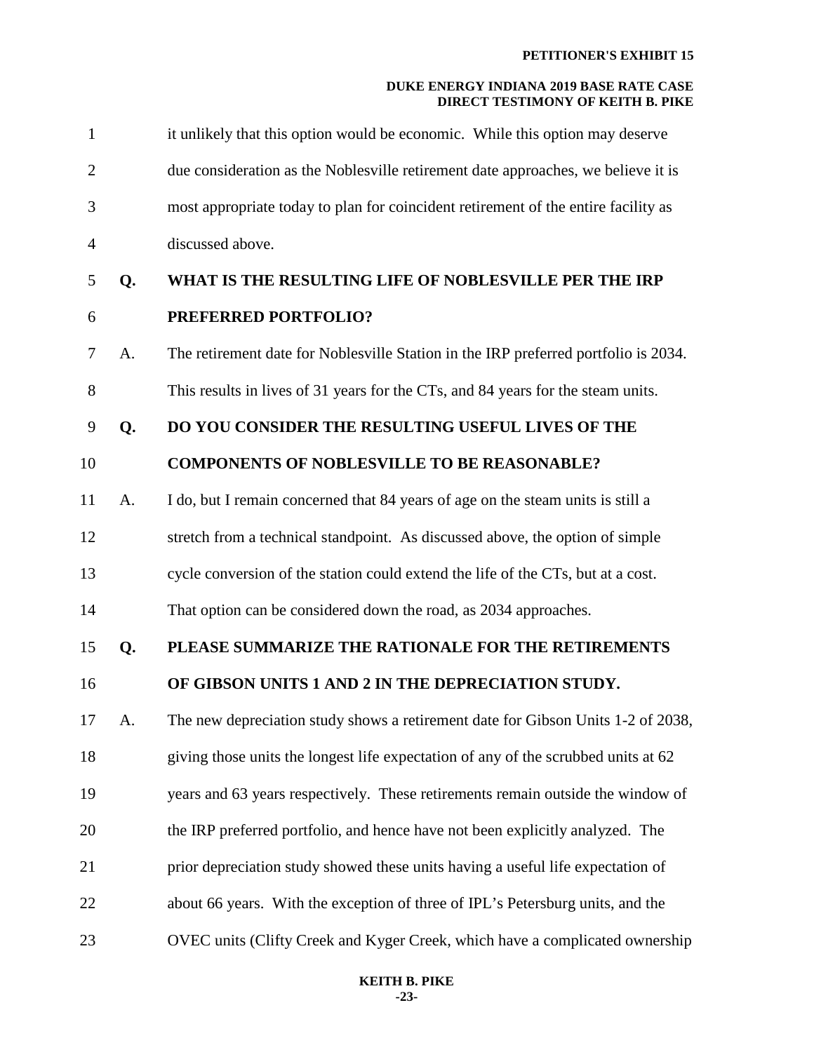| $\mathbf{1}$   |    | it unlikely that this option would be economic. While this option may deserve       |
|----------------|----|-------------------------------------------------------------------------------------|
| $\overline{2}$ |    | due consideration as the Noblesville retirement date approaches, we believe it is   |
| 3              |    | most appropriate today to plan for coincident retirement of the entire facility as  |
| $\overline{4}$ |    | discussed above.                                                                    |
| 5              | Q. | WHAT IS THE RESULTING LIFE OF NOBLESVILLE PER THE IRP                               |
| 6              |    | PREFERRED PORTFOLIO?                                                                |
| 7              | A. | The retirement date for Noblesville Station in the IRP preferred portfolio is 2034. |
| 8              |    | This results in lives of 31 years for the CTs, and 84 years for the steam units.    |
| 9              | Q. | DO YOU CONSIDER THE RESULTING USEFUL LIVES OF THE                                   |
| 10             |    | <b>COMPONENTS OF NOBLESVILLE TO BE REASONABLE?</b>                                  |
| 11             | A. | I do, but I remain concerned that 84 years of age on the steam units is still a     |
| 12             |    | stretch from a technical standpoint. As discussed above, the option of simple       |
| 13             |    | cycle conversion of the station could extend the life of the CTs, but at a cost.    |
| 14             |    | That option can be considered down the road, as 2034 approaches.                    |
| 15             | Q. | PLEASE SUMMARIZE THE RATIONALE FOR THE RETIREMENTS                                  |
| 16             |    | OF GIBSON UNITS 1 AND 2 IN THE DEPRECIATION STUDY.                                  |
| 17             | А. | The new depreciation study shows a retirement date for Gibson Units 1-2 of 2038,    |
| 18             |    | giving those units the longest life expectation of any of the scrubbed units at 62  |
| 19             |    | years and 63 years respectively. These retirements remain outside the window of     |
| 20             |    | the IRP preferred portfolio, and hence have not been explicitly analyzed. The       |
| 21             |    | prior depreciation study showed these units having a useful life expectation of     |
| 22             |    | about 66 years. With the exception of three of IPL's Petersburg units, and the      |
| 23             |    | OVEC units (Clifty Creek and Kyger Creek, which have a complicated ownership        |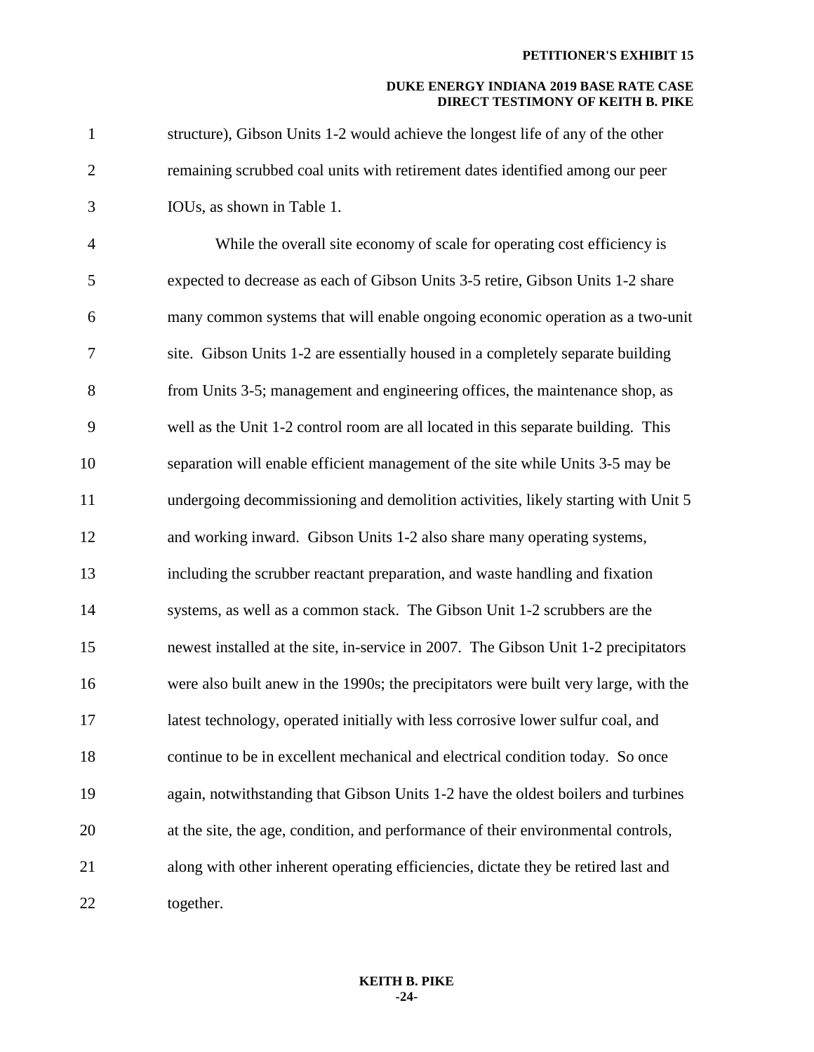| $\mathbf{1}$   | structure), Gibson Units 1-2 would achieve the longest life of any of the other      |
|----------------|--------------------------------------------------------------------------------------|
| $\overline{2}$ | remaining scrubbed coal units with retirement dates identified among our peer        |
| 3              | IOUs, as shown in Table 1.                                                           |
| $\overline{4}$ | While the overall site economy of scale for operating cost efficiency is             |
| 5              | expected to decrease as each of Gibson Units 3-5 retire, Gibson Units 1-2 share      |
| 6              | many common systems that will enable ongoing economic operation as a two-unit        |
| 7              | site. Gibson Units 1-2 are essentially housed in a completely separate building      |
| 8              | from Units 3-5; management and engineering offices, the maintenance shop, as         |
| 9              | well as the Unit 1-2 control room are all located in this separate building. This    |
| 10             | separation will enable efficient management of the site while Units 3-5 may be       |
| 11             | undergoing decommissioning and demolition activities, likely starting with Unit 5    |
| 12             | and working inward. Gibson Units 1-2 also share many operating systems,              |
| 13             | including the scrubber reactant preparation, and waste handling and fixation         |
| 14             | systems, as well as a common stack. The Gibson Unit 1-2 scrubbers are the            |
| 15             | newest installed at the site, in-service in 2007. The Gibson Unit 1-2 precipitators  |
| 16             | were also built anew in the 1990s; the precipitators were built very large, with the |
| 17             | latest technology, operated initially with less corrosive lower sulfur coal, and     |
| 18             | continue to be in excellent mechanical and electrical condition today. So once       |
| 19             | again, notwithstanding that Gibson Units 1-2 have the oldest boilers and turbines    |
| 20             | at the site, the age, condition, and performance of their environmental controls,    |
| 21             | along with other inherent operating efficiencies, dictate they be retired last and   |
| 22             | together.                                                                            |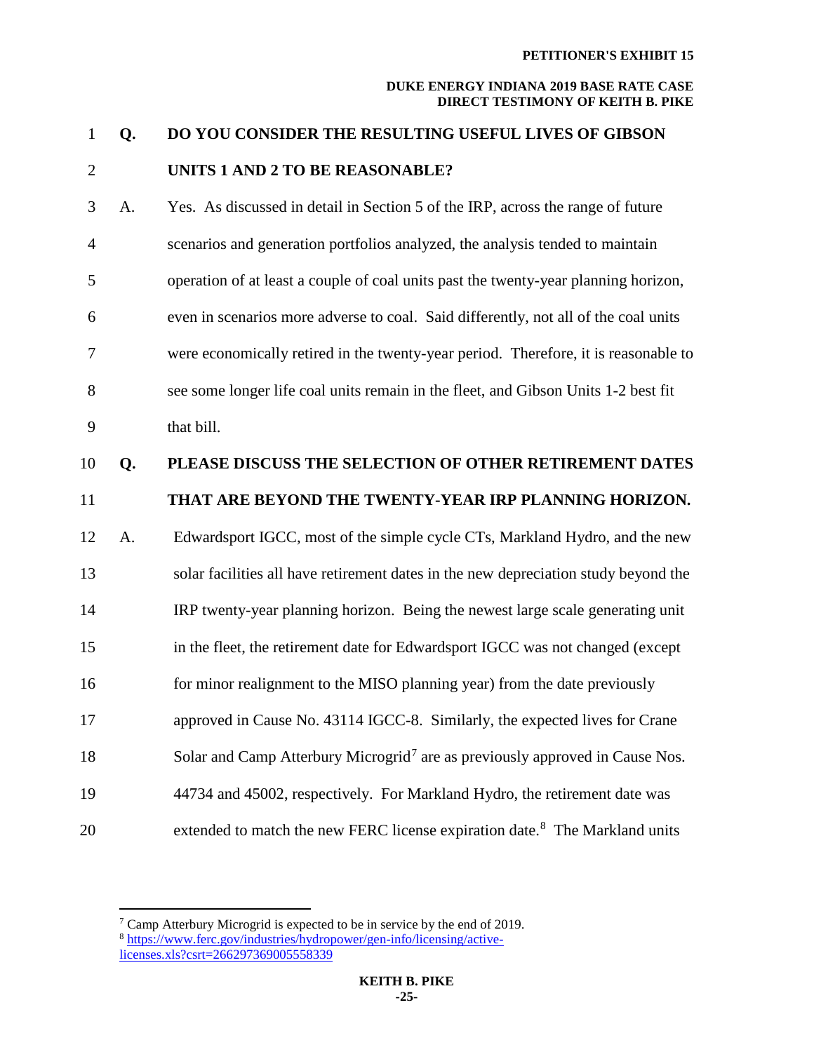## 1 **Q. DO YOU CONSIDER THE RESULTING USEFUL LIVES OF GIBSON**  2 **UNITS 1 AND 2 TO BE REASONABLE?**

3 A. Yes. As discussed in detail in Section 5 of the IRP, across the range of future 4 scenarios and generation portfolios analyzed, the analysis tended to maintain 5 operation of at least a couple of coal units past the twenty-year planning horizon, 6 even in scenarios more adverse to coal. Said differently, not all of the coal units 7 were economically retired in the twenty-year period. Therefore, it is reasonable to 8 see some longer life coal units remain in the fleet, and Gibson Units 1-2 best fit 9 that bill.

## 10 **Q. PLEASE DISCUSS THE SELECTION OF OTHER RETIREMENT DATES**

## 11 **THAT ARE BEYOND THE TWENTY-YEAR IRP PLANNING HORIZON.**

12 A. Edwardsport IGCC, most of the simple cycle CTs, Markland Hydro, and the new 13 solar facilities all have retirement dates in the new depreciation study beyond the 14 IRP twenty-year planning horizon. Being the newest large scale generating unit 15 in the fleet, the retirement date for Edwardsport IGCC was not changed (except 16 for minor realignment to the MISO planning year) from the date previously 17 approved in Cause No. 43114 IGCC-8. Similarly, the expected lives for Crane Solar and Camp Atterbury Microgrid<sup>[7](#page-25-0)</sup> are as previously approved in Cause Nos. 19 44734 and 45002, respectively. For Markland Hydro, the retirement date was 20 extended to match the new FERC license expiration date.<sup>[8](#page-25-1)</sup> The Markland units

<span id="page-25-1"></span><span id="page-25-0"></span> $\overline{a}$  $7$  Camp Atterbury Microgrid is expected to be in service by the end of 2019. <sup>8</sup> [https://www.ferc.gov/industries/hydropower/gen-info/licensing/active](https://www.ferc.gov/industries/hydropower/gen-info/licensing/active-licenses.xls?csrt=266297369005558339)licenses.xls?csrt=266297369005558339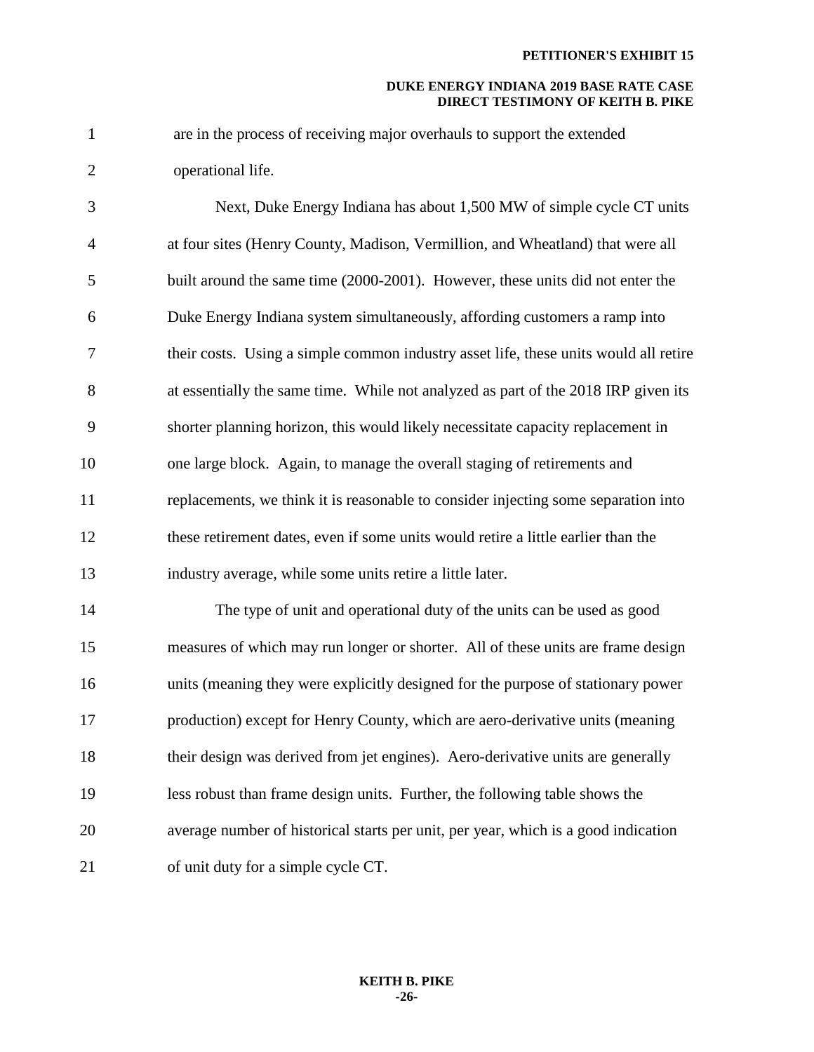1 are in the process of receiving major overhauls to support the extended 2 operational life.

3 Next, Duke Energy Indiana has about 1,500 MW of simple cycle CT units 4 at four sites (Henry County, Madison, Vermillion, and Wheatland) that were all 5 built around the same time (2000-2001). However, these units did not enter the 6 Duke Energy Indiana system simultaneously, affording customers a ramp into 7 their costs. Using a simple common industry asset life, these units would all retire 8 at essentially the same time. While not analyzed as part of the 2018 IRP given its 9 shorter planning horizon, this would likely necessitate capacity replacement in 10 one large block. Again, to manage the overall staging of retirements and 11 replacements, we think it is reasonable to consider injecting some separation into 12 these retirement dates, even if some units would retire a little earlier than the 13 industry average, while some units retire a little later.

14 The type of unit and operational duty of the units can be used as good 15 measures of which may run longer or shorter. All of these units are frame design 16 units (meaning they were explicitly designed for the purpose of stationary power 17 production) except for Henry County, which are aero-derivative units (meaning 18 their design was derived from jet engines). Aero-derivative units are generally 19 less robust than frame design units. Further, the following table shows the 20 average number of historical starts per unit, per year, which is a good indication 21 of unit duty for a simple cycle CT.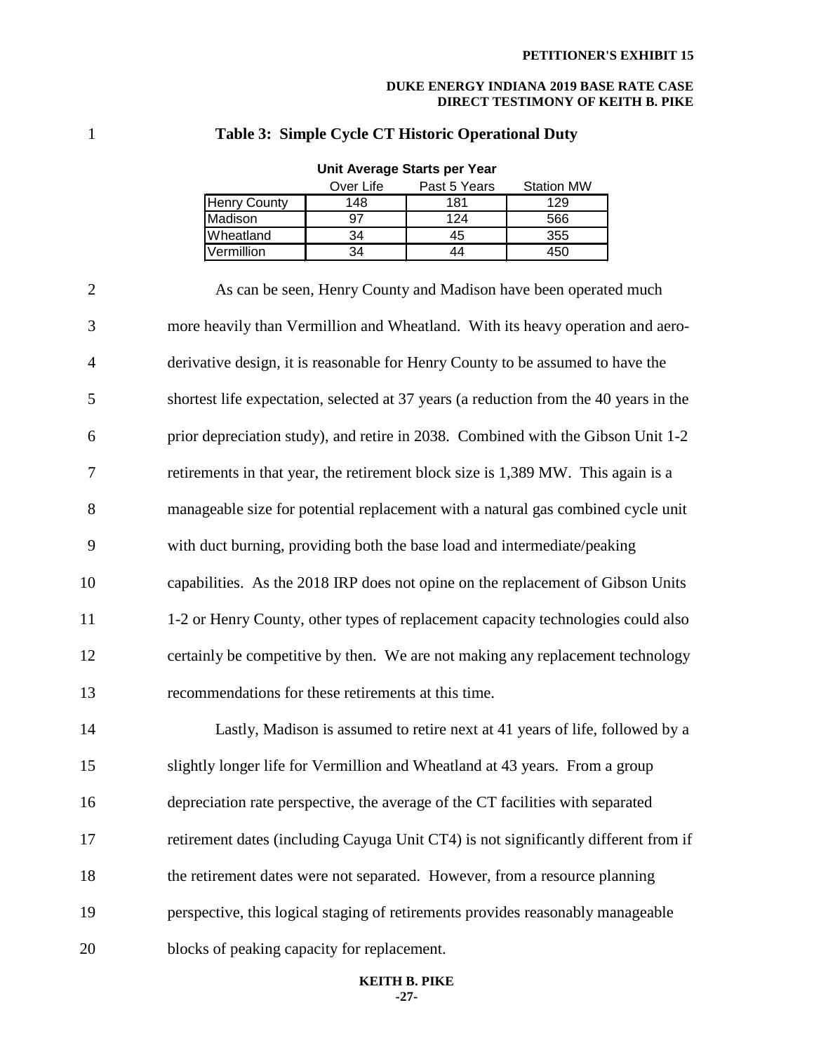## 1 **Table 3: Simple Cycle CT Historic Operational Duty**

|                     | Over Life | Past 5 Years | <b>Station MW</b> |
|---------------------|-----------|--------------|-------------------|
| <b>Henry County</b> | 148       | 181          | 129               |
| Madison             | 97        | 124          | 566               |
| <b>IWheatland</b>   | 34        | 45           | 355               |
| Vermillion          | 34        | 44           | 450               |

## **Unit Average Starts per Year**

2 As can be seen, Henry County and Madison have been operated much 3 more heavily than Vermillion and Wheatland. With its heavy operation and aero-4 derivative design, it is reasonable for Henry County to be assumed to have the 5 shortest life expectation, selected at 37 years (a reduction from the 40 years in the 6 prior depreciation study), and retire in 2038. Combined with the Gibson Unit 1-2 7 retirements in that year, the retirement block size is 1,389 MW. This again is a 8 manageable size for potential replacement with a natural gas combined cycle unit 9 with duct burning, providing both the base load and intermediate/peaking 10 capabilities. As the 2018 IRP does not opine on the replacement of Gibson Units 11 1-2 or Henry County, other types of replacement capacity technologies could also 12 certainly be competitive by then. We are not making any replacement technology 13 recommendations for these retirements at this time. 14 Lastly, Madison is assumed to retire next at 41 years of life, followed by a 15 slightly longer life for Vermillion and Wheatland at 43 years. From a group 16 depreciation rate perspective, the average of the CT facilities with separated 17 retirement dates (including Cayuga Unit CT4) is not significantly different from if 18 the retirement dates were not separated. However, from a resource planning 19 perspective, this logical staging of retirements provides reasonably manageable 20 blocks of peaking capacity for replacement.

#### **KEITH B. PIKE -27-**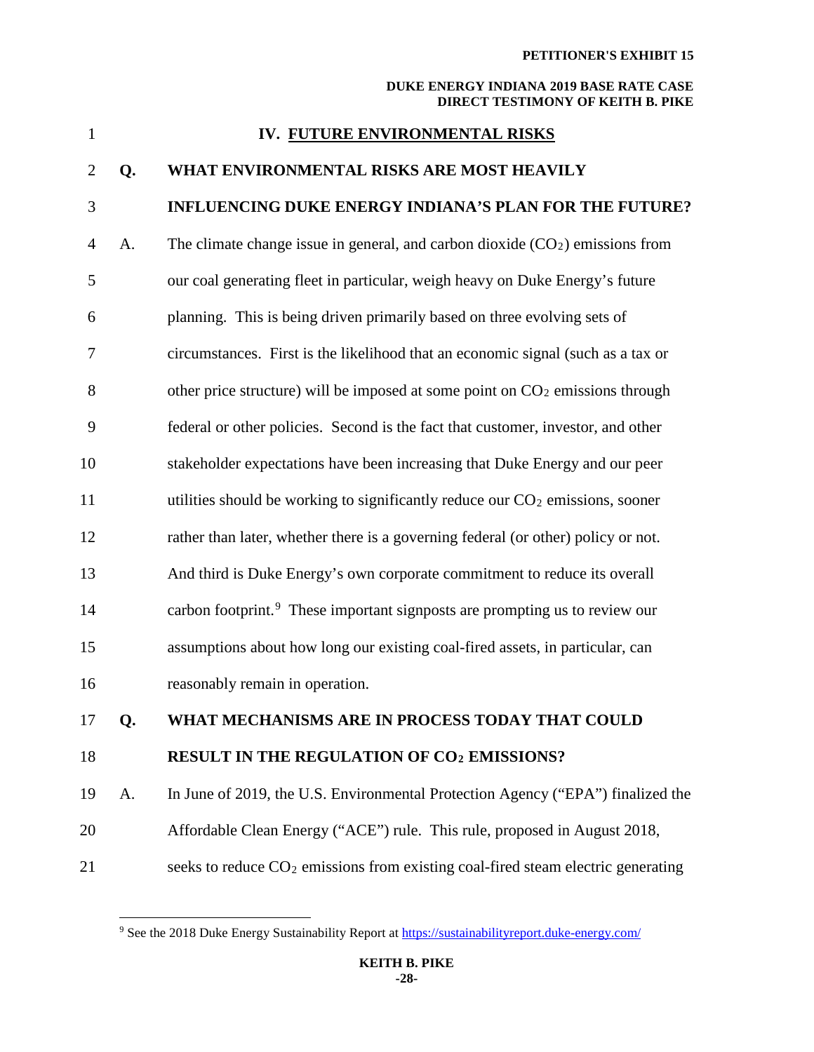| $\mathbf{1}$   |    | IV. FUTURE ENVIRONMENTAL RISKS                                                          |
|----------------|----|-----------------------------------------------------------------------------------------|
| $\overline{2}$ | Q. | WHAT ENVIRONMENTAL RISKS ARE MOST HEAVILY                                               |
| 3              |    | <b>INFLUENCING DUKE ENERGY INDIANA'S PLAN FOR THE FUTURE?</b>                           |
| $\overline{4}$ | A. | The climate change issue in general, and carbon dioxide $(CO2)$ emissions from          |
| 5              |    | our coal generating fleet in particular, weigh heavy on Duke Energy's future            |
| 6              |    | planning. This is being driven primarily based on three evolving sets of                |
| 7              |    | circumstances. First is the likelihood that an economic signal (such as a tax or        |
| 8              |    | other price structure) will be imposed at some point on $CO2$ emissions through         |
| 9              |    | federal or other policies. Second is the fact that customer, investor, and other        |
| 10             |    | stakeholder expectations have been increasing that Duke Energy and our peer             |
| 11             |    | utilities should be working to significantly reduce our $CO2$ emissions, sooner         |
| 12             |    | rather than later, whether there is a governing federal (or other) policy or not.       |
| 13             |    | And third is Duke Energy's own corporate commitment to reduce its overall               |
| 14             |    | carbon footprint. <sup>9</sup> These important signposts are prompting us to review our |
| 15             |    | assumptions about how long our existing coal-fired assets, in particular, can           |
| 16             |    | reasonably remain in operation.                                                         |
| 17             | Q. | WHAT MECHANISMS ARE IN PROCESS TODAY THAT COULD                                         |
| 18             |    | <b>RESULT IN THE REGULATION OF CO2 EMISSIONS?</b>                                       |
| 19             | A. | In June of 2019, the U.S. Environmental Protection Agency ("EPA") finalized the         |
| 20             |    | Affordable Clean Energy ("ACE") rule. This rule, proposed in August 2018,               |
| 21             |    | seeks to reduce $CO2$ emissions from existing coal-fired steam electric generating      |

<span id="page-28-0"></span><sup>&</sup>lt;sup>9</sup> See the 2018 Duke Energy Sustainability Report at https://sustainabilityreport.duke-energy.com/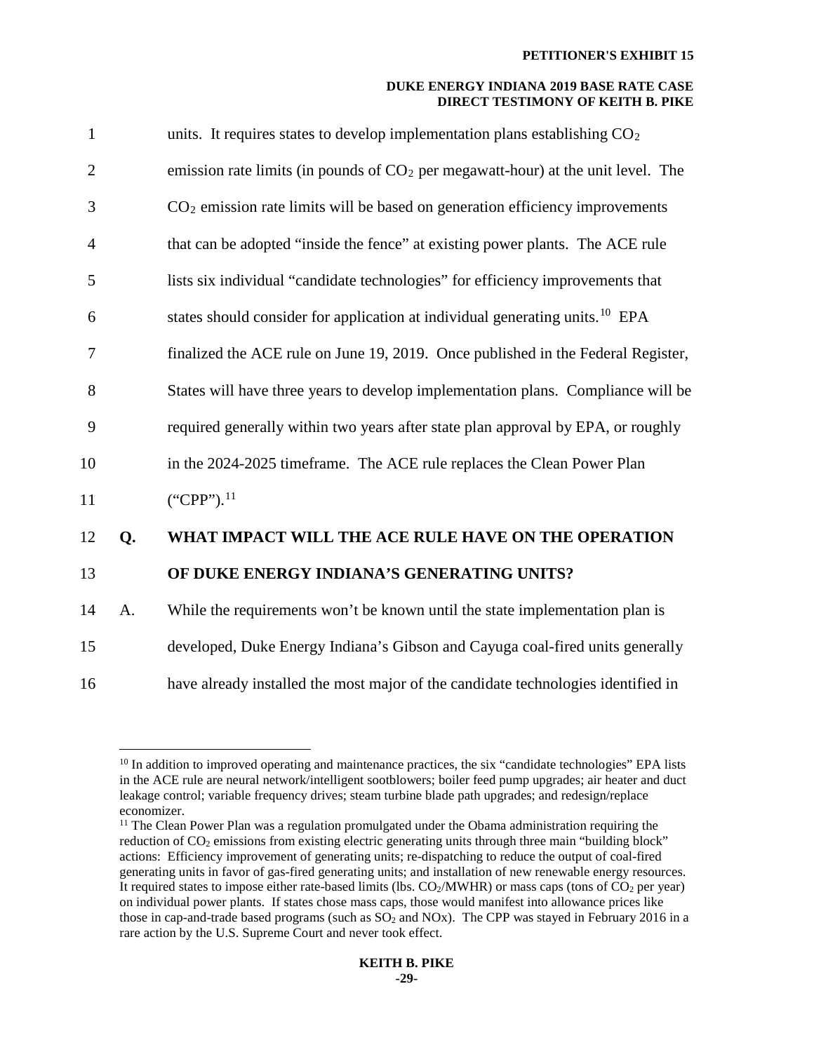| $\mathbf{1}$   |    | units. It requires states to develop implementation plans establishing $CO2$             |
|----------------|----|------------------------------------------------------------------------------------------|
| $\overline{2}$ |    | emission rate limits (in pounds of $CO2$ per megawatt-hour) at the unit level. The       |
| 3              |    | $CO2$ emission rate limits will be based on generation efficiency improvements           |
| $\overline{4}$ |    | that can be adopted "inside the fence" at existing power plants. The ACE rule            |
| 5              |    | lists six individual "candidate technologies" for efficiency improvements that           |
| 6              |    | states should consider for application at individual generating units. <sup>10</sup> EPA |
| 7              |    | finalized the ACE rule on June 19, 2019. Once published in the Federal Register,         |
| 8              |    | States will have three years to develop implementation plans. Compliance will be         |
| 9              |    | required generally within two years after state plan approval by EPA, or roughly         |
| 10             |    | in the 2024-2025 timeframe. The ACE rule replaces the Clean Power Plan                   |
| 11             |    | $("CPP")$ . <sup>11</sup>                                                                |
| 12             | Q. | WHAT IMPACT WILL THE ACE RULE HAVE ON THE OPERATION                                      |
| 13             |    | OF DUKE ENERGY INDIANA'S GENERATING UNITS?                                               |
| 14             | A. | While the requirements won't be known until the state implementation plan is             |
| 15             |    | developed, Duke Energy Indiana's Gibson and Cayuga coal-fired units generally            |
| 16             |    | have already installed the most major of the candidate technologies identified in        |

<span id="page-29-0"></span>

<sup>&</sup>lt;sup>10</sup> In addition to improved operating and maintenance practices, the six "candidate technologies" EPA lists in the ACE rule are neural network/intelligent sootblowers; boiler feed pump upgrades; air heater and duct leakage control; variable frequency drives; steam turbine blade path upgrades; and redesign/replace economizer.<br><sup>11</sup> The Clean Power Plan was a regulation promulgated under the Obama administration requiring the

<span id="page-29-1"></span>reduction of  $CO<sub>2</sub>$  emissions from existing electric generating units through three main "building block" actions: Efficiency improvement of generating units; re-dispatching to reduce the output of coal-fired generating units in favor of gas-fired generating units; and installation of new renewable energy resources. It required states to impose either rate-based limits (lbs.  $CO<sub>2</sub>/MWHR$ ) or mass caps (tons of  $CO<sub>2</sub>$  per year) on individual power plants. If states chose mass caps, those would manifest into allowance prices like those in cap-and-trade based programs (such as  $SO<sub>2</sub>$  and NOx). The CPP was stayed in February 2016 in a rare action by the U.S. Supreme Court and never took effect.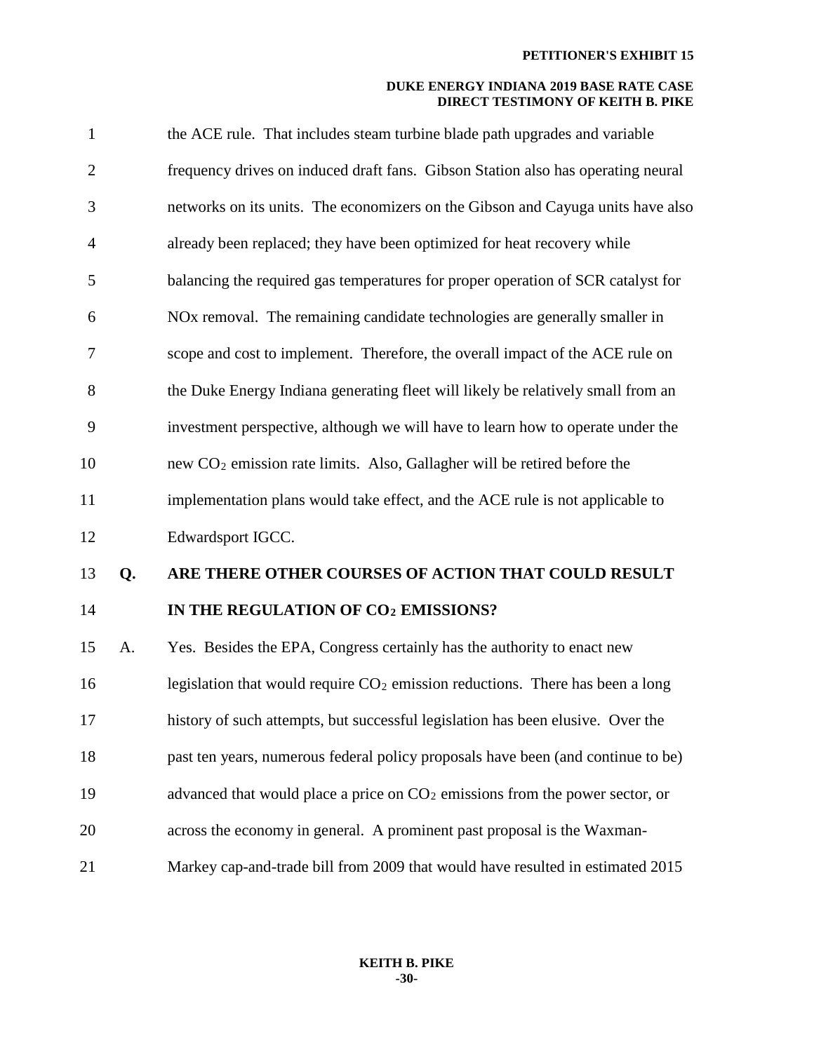| $\mathbf{1}$   |    | the ACE rule. That includes steam turbine blade path upgrades and variable             |
|----------------|----|----------------------------------------------------------------------------------------|
| $\overline{c}$ |    | frequency drives on induced draft fans. Gibson Station also has operating neural       |
| 3              |    | networks on its units. The economizers on the Gibson and Cayuga units have also        |
| $\overline{4}$ |    | already been replaced; they have been optimized for heat recovery while                |
| 5              |    | balancing the required gas temperatures for proper operation of SCR catalyst for       |
| 6              |    | NO <sub>x</sub> removal. The remaining candidate technologies are generally smaller in |
| 7              |    | scope and cost to implement. Therefore, the overall impact of the ACE rule on          |
| 8              |    | the Duke Energy Indiana generating fleet will likely be relatively small from an       |
| 9              |    | investment perspective, although we will have to learn how to operate under the        |
| 10             |    | new $CO2$ emission rate limits. Also, Gallagher will be retired before the             |
| 11             |    | implementation plans would take effect, and the ACE rule is not applicable to          |
| 12             |    | Edwardsport IGCC.                                                                      |
| 13             | Q. | ARE THERE OTHER COURSES OF ACTION THAT COULD RESULT                                    |
| 14             |    | IN THE REGULATION OF CO2 EMISSIONS?                                                    |
| 15             | A. | Yes. Besides the EPA, Congress certainly has the authority to enact new                |
| 16             |    | legislation that would require $CO2$ emission reductions. There has been a long        |
| 17             |    | history of such attempts, but successful legislation has been elusive. Over the        |
| 18             |    | past ten years, numerous federal policy proposals have been (and continue to be)       |
| 19             |    | advanced that would place a price on $CO2$ emissions from the power sector, or         |
| 20             |    | across the economy in general. A prominent past proposal is the Waxman-                |
| 21             |    | Markey cap-and-trade bill from 2009 that would have resulted in estimated 2015         |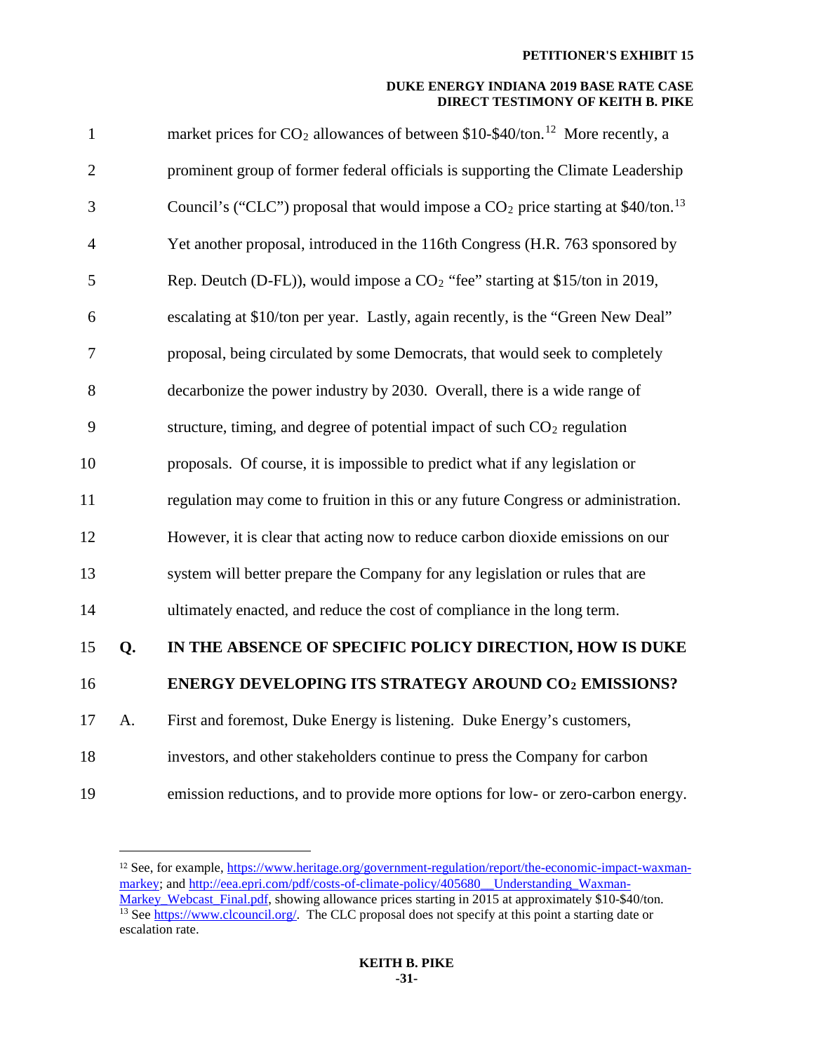| $\mathbf{1}$   |    | market prices for $CO_2$ allowances of between \$10-\$40/ton. <sup>12</sup> More recently, a    |
|----------------|----|-------------------------------------------------------------------------------------------------|
| $\overline{2}$ |    | prominent group of former federal officials is supporting the Climate Leadership                |
| 3              |    | Council's ("CLC") proposal that would impose a $CO_2$ price starting at \$40/ton. <sup>13</sup> |
| $\overline{4}$ |    | Yet another proposal, introduced in the 116th Congress (H.R. 763 sponsored by                   |
| 5              |    | Rep. Deutch (D-FL)), would impose a CO <sub>2</sub> "fee" starting at \$15/ton in 2019,         |
| 6              |    | escalating at \$10/ton per year. Lastly, again recently, is the "Green New Deal"                |
| 7              |    | proposal, being circulated by some Democrats, that would seek to completely                     |
| 8              |    | decarbonize the power industry by 2030. Overall, there is a wide range of                       |
| 9              |    | structure, timing, and degree of potential impact of such $CO2$ regulation                      |
| 10             |    | proposals. Of course, it is impossible to predict what if any legislation or                    |
| 11             |    | regulation may come to fruition in this or any future Congress or administration.               |
| 12             |    | However, it is clear that acting now to reduce carbon dioxide emissions on our                  |
| 13             |    | system will better prepare the Company for any legislation or rules that are                    |
| 14             |    | ultimately enacted, and reduce the cost of compliance in the long term.                         |
| 15             | Q. | IN THE ABSENCE OF SPECIFIC POLICY DIRECTION, HOW IS DUKE                                        |
| 16             |    | <b>ENERGY DEVELOPING ITS STRATEGY AROUND CO2 EMISSIONS?</b>                                     |
| 17             | A. | First and foremost, Duke Energy is listening. Duke Energy's customers,                          |
| 18             |    | investors, and other stakeholders continue to press the Company for carbon                      |
| 19             |    | emission reductions, and to provide more options for low- or zero-carbon energy.                |
|                |    |                                                                                                 |

<span id="page-31-1"></span><span id="page-31-0"></span><sup>&</sup>lt;sup>12</sup> See, for example, [https://www.heritage.org/government-regulation/report/the-economic-impact-waxman](https://www.heritage.org/government-regulation/report/the-economic-impact-waxman-markey)[markey;](https://www.heritage.org/government-regulation/report/the-economic-impact-waxman-markey) and [http://eea.epri.com/pdf/costs-of-climate-policy/405680\\_\\_Understanding\\_Waxman-](http://eea.epri.com/pdf/costs-of-climate-policy/405680__Understanding_Waxman-Markey_Webcast_Final.pdf)[Markey\\_Webcast\\_Final.pdf,](http://eea.epri.com/pdf/costs-of-climate-policy/405680__Understanding_Waxman-Markey_Webcast_Final.pdf) showing allowance prices starting in 2015 at approximately \$10-\$40/ton.  $\frac{13}{13}$  See [https://www.clcouncil.org/.](https://www.clcouncil.org/) The CLC proposal does not specify at this point a starting date or escalation rate.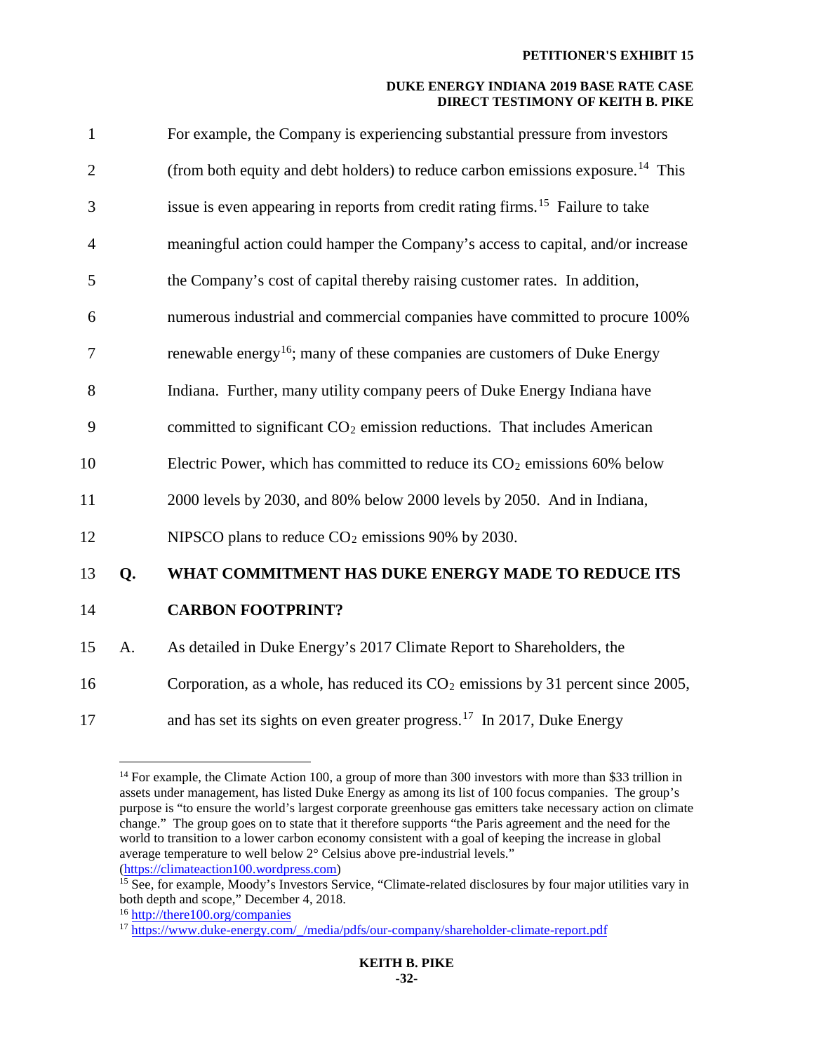| $\mathbf{1}$   |    | For example, the Company is experiencing substantial pressure from investors                |
|----------------|----|---------------------------------------------------------------------------------------------|
| $\overline{2}$ |    | (from both equity and debt holders) to reduce carbon emissions exposure. <sup>14</sup> This |
| 3              |    | issue is even appearing in reports from credit rating firms. <sup>15</sup> Failure to take  |
| $\overline{4}$ |    | meaningful action could hamper the Company's access to capital, and/or increase             |
| 5              |    | the Company's cost of capital thereby raising customer rates. In addition,                  |
| 6              |    | numerous industrial and commercial companies have committed to procure 100%                 |
| 7              |    | renewable energy <sup>16</sup> ; many of these companies are customers of Duke Energy       |
| 8              |    | Indiana. Further, many utility company peers of Duke Energy Indiana have                    |
| 9              |    | committed to significant CO <sub>2</sub> emission reductions. That includes American        |
| 10             |    | Electric Power, which has committed to reduce its $CO2$ emissions 60% below                 |
| 11             |    | 2000 levels by 2030, and 80% below 2000 levels by 2050. And in Indiana,                     |
| 12             |    | NIPSCO plans to reduce $CO2$ emissions 90% by 2030.                                         |
| 13             | Q. | WHAT COMMITMENT HAS DUKE ENERGY MADE TO REDUCE ITS                                          |
| 14             |    | <b>CARBON FOOTPRINT?</b>                                                                    |
| 15             | A. | As detailed in Duke Energy's 2017 Climate Report to Shareholders, the                       |
| 16             |    | Corporation, as a whole, has reduced its $CO2$ emissions by 31 percent since 2005,          |
| 17             |    | and has set its sights on even greater progress. <sup>17</sup> In 2017, Duke Energy         |

<span id="page-32-0"></span> $14$  For example, the Climate Action 100, a group of more than 300 investors with more than \$33 trillion in assets under management, has listed Duke Energy as among its list of 100 focus companies. The group's purpose is "to ensure the world's largest corporate greenhouse gas emitters take necessary action on climate change." The group goes on to state that it therefore supports "the Paris agreement and the need for the world to transition to a lower carbon economy consistent with a goal of keeping the increase in global average temperature to well below 2° Celsius above pre-industrial levels."<br>(https://climateaction100.wordpress.com)

<span id="page-32-1"></span> $^{15}$  See, for example, Moody's Investors Service, "Climate-related disclosures by four major utilities vary in both depth and scope," December 4, 2018.

<span id="page-32-2"></span><sup>&</sup>lt;sup>16</sup> <http://there100.org/companies>

<span id="page-32-3"></span><sup>&</sup>lt;sup>17</sup> https://www.duke-energy.com/\_/media/pdfs/our-company/shareholder-climate-report.pdf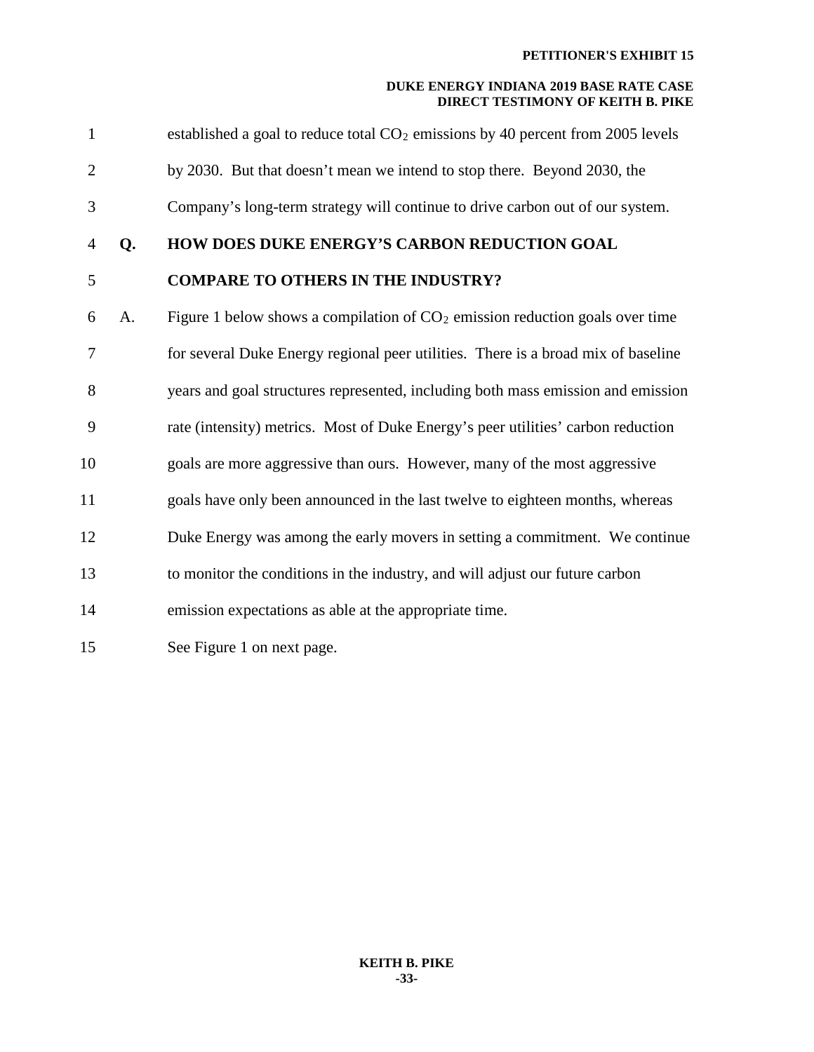| $\mathbf{1}$   |    | established a goal to reduce total CO <sub>2</sub> emissions by 40 percent from 2005 levels |
|----------------|----|---------------------------------------------------------------------------------------------|
| $\overline{2}$ |    | by 2030. But that doesn't mean we intend to stop there. Beyond 2030, the                    |
| 3              |    | Company's long-term strategy will continue to drive carbon out of our system.               |
| $\overline{4}$ | Q. | HOW DOES DUKE ENERGY'S CARBON REDUCTION GOAL                                                |
| 5              |    | <b>COMPARE TO OTHERS IN THE INDUSTRY?</b>                                                   |
| 6              | A. | Figure 1 below shows a compilation of $CO2$ emission reduction goals over time              |
| 7              |    | for several Duke Energy regional peer utilities. There is a broad mix of baseline           |
| 8              |    | years and goal structures represented, including both mass emission and emission            |
| 9              |    | rate (intensity) metrics. Most of Duke Energy's peer utilities' carbon reduction            |
| 10             |    | goals are more aggressive than ours. However, many of the most aggressive                   |
| 11             |    | goals have only been announced in the last twelve to eighteen months, whereas               |
| 12             |    | Duke Energy was among the early movers in setting a commitment. We continue                 |
| 13             |    | to monitor the conditions in the industry, and will adjust our future carbon                |
| 14             |    | emission expectations as able at the appropriate time.                                      |
| 15             |    | See Figure 1 on next page.                                                                  |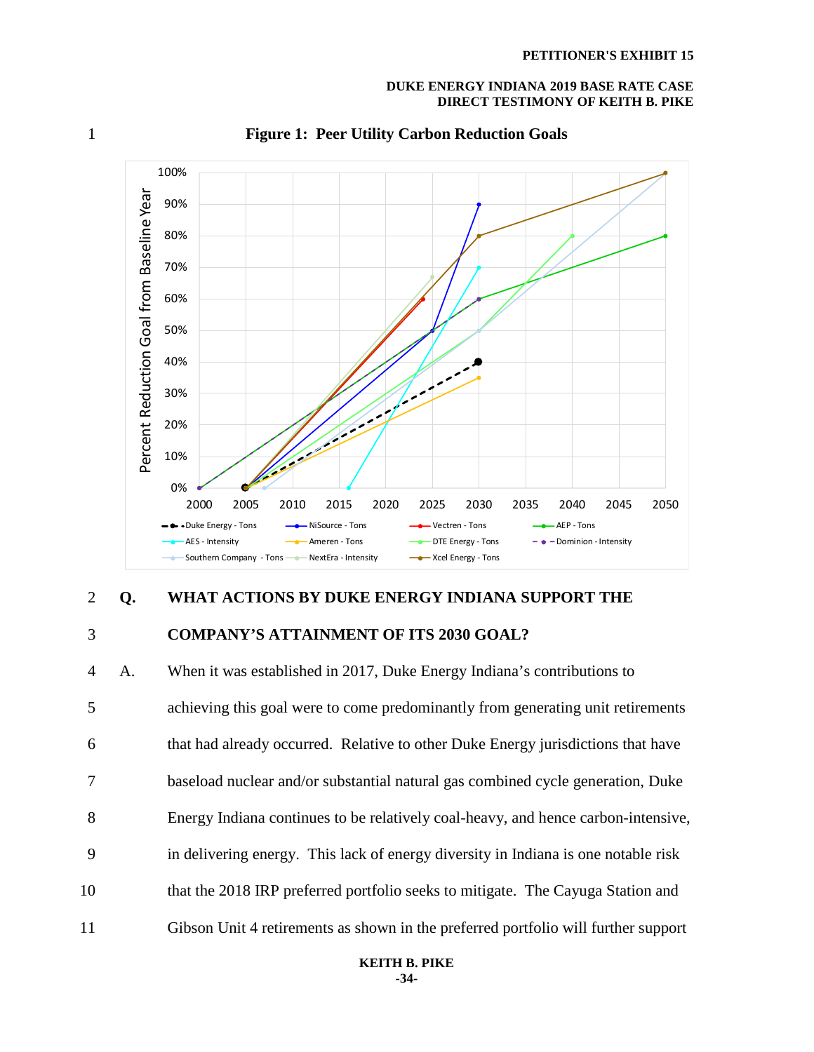

## 1 **Figure 1: Peer Utility Carbon Reduction Goals**

## 2 **Q. WHAT ACTIONS BY DUKE ENERGY INDIANA SUPPORT THE**

## 3 **COMPANY'S ATTAINMENT OF ITS 2030 GOAL?**

4 A. When it was established in 2017, Duke Energy Indiana's contributions to 5 achieving this goal were to come predominantly from generating unit retirements 6 that had already occurred. Relative to other Duke Energy jurisdictions that have 7 baseload nuclear and/or substantial natural gas combined cycle generation, Duke 8 Energy Indiana continues to be relatively coal-heavy, and hence carbon-intensive, 9 in delivering energy. This lack of energy diversity in Indiana is one notable risk 10 that the 2018 IRP preferred portfolio seeks to mitigate. The Cayuga Station and 11 Gibson Unit 4 retirements as shown in the preferred portfolio will further support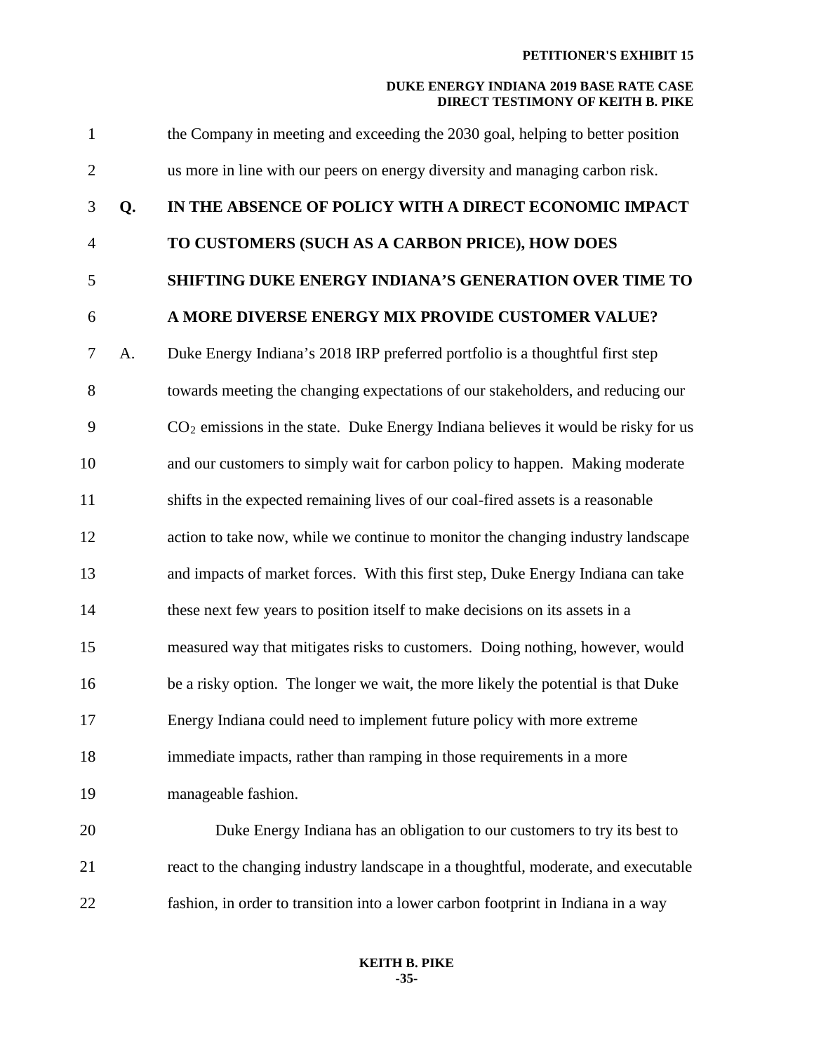|    | the Company in meeting and exceeding the 2030 goal, helping to better position                |
|----|-----------------------------------------------------------------------------------------------|
|    | us more in line with our peers on energy diversity and managing carbon risk.                  |
| Q. | IN THE ABSENCE OF POLICY WITH A DIRECT ECONOMIC IMPACT                                        |
|    | TO CUSTOMERS (SUCH AS A CARBON PRICE), HOW DOES                                               |
|    | SHIFTING DUKE ENERGY INDIANA'S GENERATION OVER TIME TO                                        |
|    | A MORE DIVERSE ENERGY MIX PROVIDE CUSTOMER VALUE?                                             |
| A. | Duke Energy Indiana's 2018 IRP preferred portfolio is a thoughtful first step                 |
|    | towards meeting the changing expectations of our stakeholders, and reducing our               |
|    | CO <sub>2</sub> emissions in the state. Duke Energy Indiana believes it would be risky for us |
|    | and our customers to simply wait for carbon policy to happen. Making moderate                 |
|    | shifts in the expected remaining lives of our coal-fired assets is a reasonable               |
|    | action to take now, while we continue to monitor the changing industry landscape              |
|    | and impacts of market forces. With this first step, Duke Energy Indiana can take              |
|    | these next few years to position itself to make decisions on its assets in a                  |
|    | measured way that mitigates risks to customers. Doing nothing, however, would                 |
|    | be a risky option. The longer we wait, the more likely the potential is that Duke             |
|    | Energy Indiana could need to implement future policy with more extreme                        |
|    | immediate impacts, rather than ramping in those requirements in a more                        |
|    | manageable fashion.                                                                           |
|    | Duke Energy Indiana has an obligation to our customers to try its best to                     |
|    | react to the changing industry landscape in a thoughtful, moderate, and executable            |
|    | fashion, in order to transition into a lower carbon footprint in Indiana in a way             |
|    |                                                                                               |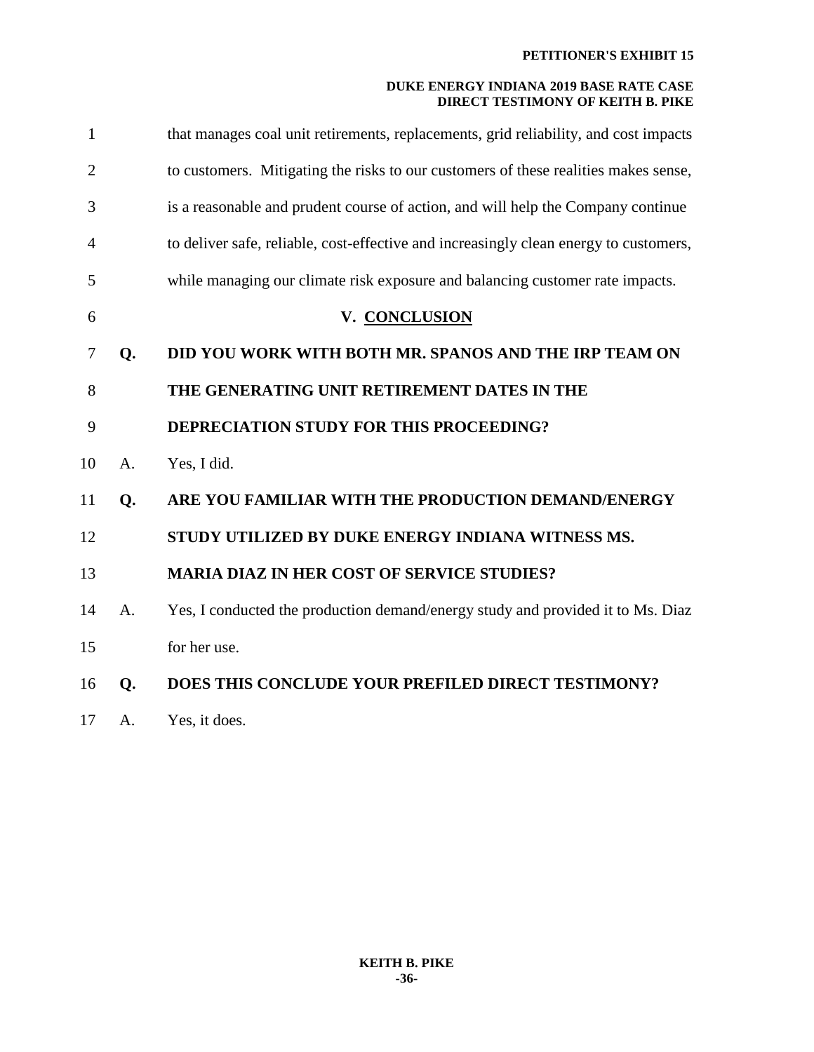| $\mathbf{1}$ |    | that manages coal unit retirements, replacements, grid reliability, and cost impacts  |
|--------------|----|---------------------------------------------------------------------------------------|
| 2            |    | to customers. Mitigating the risks to our customers of these realities makes sense,   |
| 3            |    | is a reasonable and prudent course of action, and will help the Company continue      |
| 4            |    | to deliver safe, reliable, cost-effective and increasingly clean energy to customers, |
| 5            |    | while managing our climate risk exposure and balancing customer rate impacts.         |
| 6            |    | V. CONCLUSION                                                                         |
| 7            | Q. | DID YOU WORK WITH BOTH MR. SPANOS AND THE IRP TEAM ON                                 |
| 8            |    | THE GENERATING UNIT RETIREMENT DATES IN THE                                           |
| 9            |    | DEPRECIATION STUDY FOR THIS PROCEEDING?                                               |
| 10           | A. | Yes, I did.                                                                           |
| 11           | Q. | ARE YOU FAMILIAR WITH THE PRODUCTION DEMAND/ENERGY                                    |
| 12           |    | STUDY UTILIZED BY DUKE ENERGY INDIANA WITNESS MS.                                     |
| 13           |    | <b>MARIA DIAZ IN HER COST OF SERVICE STUDIES?</b>                                     |
| 14           | A. | Yes, I conducted the production demand/energy study and provided it to Ms. Diaz       |
| 15           |    | for her use.                                                                          |
| 16           | Q. | DOES THIS CONCLUDE YOUR PREFILED DIRECT TESTIMONY?                                    |
|              |    |                                                                                       |

17 A. Yes, it does.